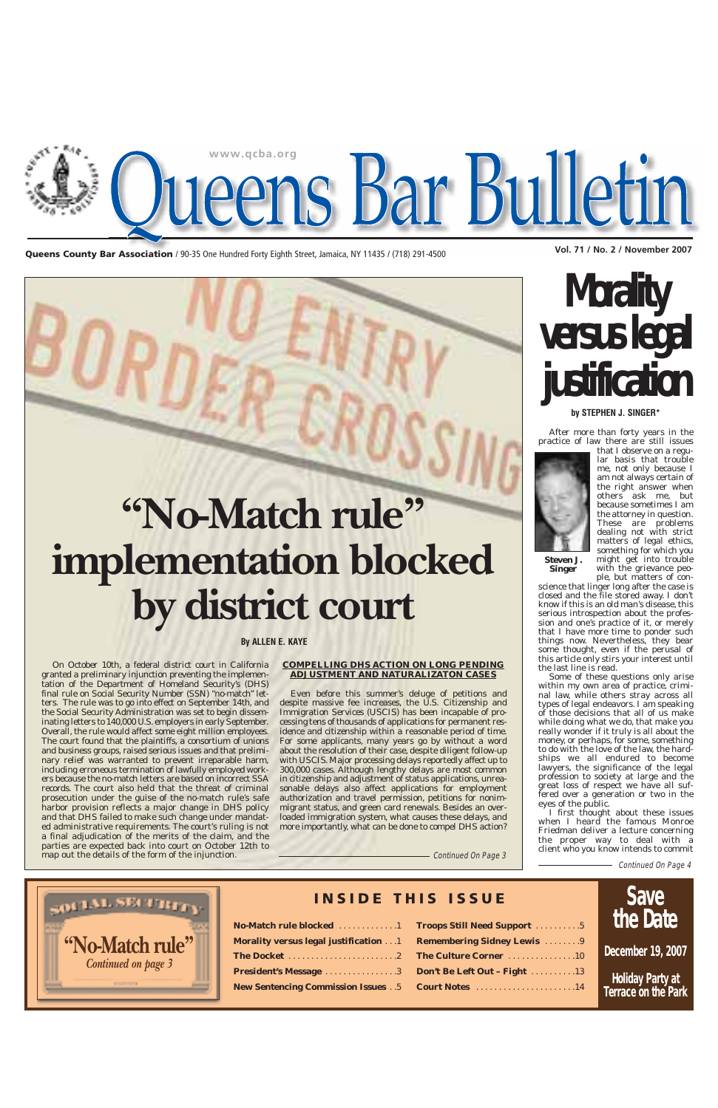**Vol. 71 / No. 2 / November 2007 Queens County Bar Association** / 90-35 One Hundred Forty Eighth Street, Jamaica, NY 11435 / (718) 291-4500



## **Morality versus legal justification**

After more than forty years in the practice of law there are still issues



that I observe on a regular basis that trouble me, not only because I am not always certain of the right answer when others ask me, but because sometimes I am the attorney in question. These are problems dealing not with strict matters of legal ethics, something for which you might get into trouble with the grievance peo-

ple, but matters of conscience that linger long after the case is closed and the file stored away. I don't know if this is an old man's disease, this serious introspection about the profession and one's practice of it, or merely that I have more time to ponder such things now. Nevertheless, they bear some thought, even if the perusal of this article only stirs your interest until the last line is read.

Some of these questions only arise within my own area of practice, criminal law, while others stray across all types of legal endeavors. I am speaking of those decisions that all of us make while doing what we do, that make you really wonder if it truly is all about the money, or perhaps, for some, something to do with the love of the law, the hardships we all endured to become lawyers, the significance of the legal profession to society at large and the great loss of respect we have all suffered over a generation or two in the eyes of the public.

I first thought about these issues when I heard the famous Monroe Friedman deliver a lecture concerning the proper way to deal with a client who you know intends to commit

#### **by STEPHEN J. SINGER\***

On October 10th, a federal district court in California granted a preliminary injunction preventing the implementation of the Department of Homeland Security's (DHS) final rule on Social Security Number (SSN) "no-match" letters. The rule was to go into effect on September 14th, and the Social Security Administration was set to begin disseminating letters to 140,000 U.S. employers in early September. Overall, the rule would affect some eight million employees. The court found that the plaintiffs, a consortium of unions and business groups, raised serious issues and that preliminary relief was warranted to prevent irreparable harm, including erroneous termination of lawfully employed workers because the no-match letters are based on incorrect SSA records. The court also held that the threat of criminal prosecution under the guise of the no-match rule's safe harbor provision reflects a major change in DHS policy and that DHS failed to make such change under mandated administrative requirements. The court's ruling is not a final adjudication of the merits of the claim, and the parties are expected back into court on October 12th to map out the details of the form of the injunction.

#### **COMPELLING DHS ACTION ON LONG PENDING ADJUSTMENT AND NATURALIZATON CASES**

| SOCIAL SECTION                                                    | No-Match rule blocked 1               | <b>INSIDE THIS ISSUE</b><br><b>Troops Still Need Support</b> 5 | <b>Save</b><br>the Date                 |
|-------------------------------------------------------------------|---------------------------------------|----------------------------------------------------------------|-----------------------------------------|
| "No-Match rule"<br><b>Continued on page 3</b><br><b>STATES OF</b> | Morality versus legal justification 1 | <b>Remembering Sidney Lewis</b> 9                              | December 19, 2007                       |
|                                                                   |                                       | <b>President's Message 3</b> Don't Be Left Out - Fight 13      | Holiday Party at<br>Terrace on the Park |

Even before this summer's deluge of petitions and despite massive fee increases, the U.S. Citizenship and Immigration Services (USCIS) has been incapable of processing tens of thousands of applications for permanent residence and citizenship within a reasonable period of time. For some applicants, many years go by without a word about the resolution of their case, despite diligent follow-up with USCIS. Major processing delays reportedly affect up to 300,000 cases. Although lengthy delays are most common in citizenship and adjustment of status applications, unreasonable delays also affect applications for employment authorization and travel permission, petitions for nonimmigrant status, and green card renewals. Besides an over-

loaded immigration system, what causes these delays, and more importantly, what can be done to compel DHS action?

Continued On Page 3

Continued On Page 4

**Steven J. Singer**

#### **By ALLEN E. KAYE**

## **"No-Match rule" implementation blocked by district court**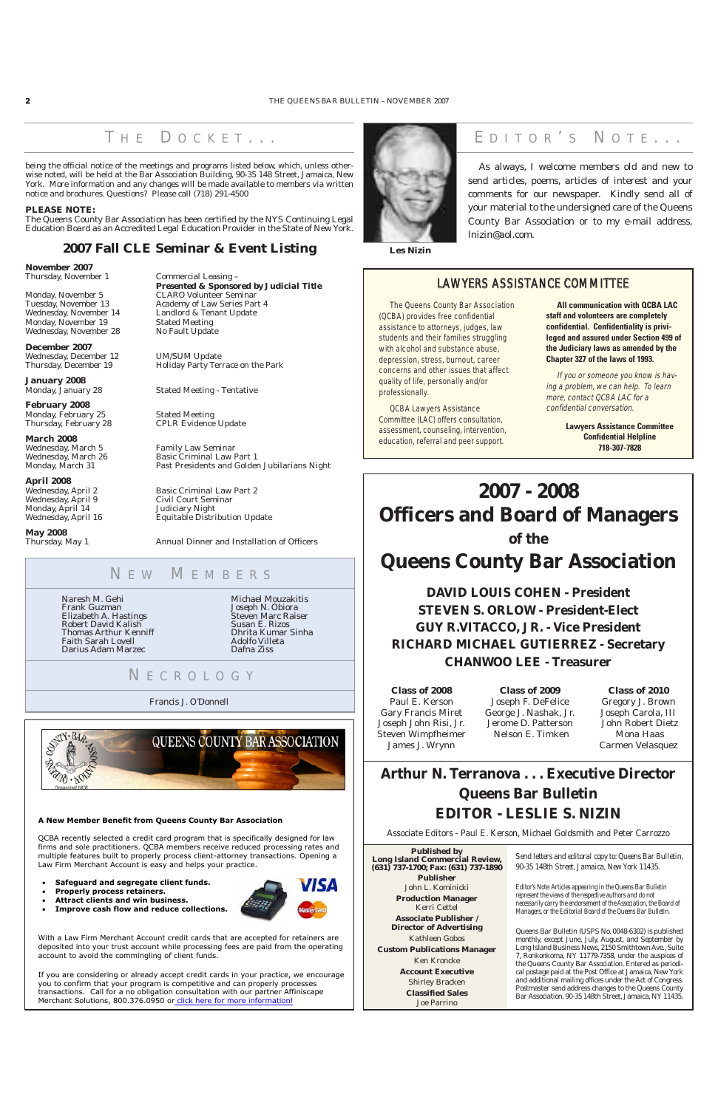As always, I welcome members old and new to send articles, poems, articles of interest and your comments for our newspaper. Kindly send all of your material to the undersigned care of the Queens County Bar Association or to my e-mail address, lnizin@aol.com.

Naresh M. Gehi Frank Guzman Elizabeth A. Hastings Robert David Kalish Thomas Arthur Kenniff Faith Sarah Lovell Darius Adam Marzec

Michael Mouzakitis Joseph N. Obiora Steven Marc Raiser Susan E. Rizos Dhrita Kumar Sinha Adolfo Villeta Dafna Ziss

#### N E W M EMBERS

#### N ECROLOGY

Francis J. O'Donnell





### THE DOCKET... **WE EDITOR'S NOTE...**

**Les Nizin**

### **2007 - 2008 Officers and Board of Managers of the Queens County Bar Association**

### **DAVID LOUIS COHEN - President STEVEN S. ORLOW - President-Elect GUY R.VITACCO, JR. - Vice President RICHARD MICHAEL GUTIERREZ - Secretary CHANWOO LEE - Treasurer**

**Arthur N. Terranova . . . Executive Director Queens Bar Bulletin EDITOR - LESLIE S. NIZIN**

**November 2007** Thursday, November 1 Commercial Leasing –

Monday, November 5 CLARO Volunteer Seminar<br>Tuesday, November 13 Academy of Law Series Part Wednesday, November 14 Monday, November 19 Stated Meeting<br>Wednesday, November 28 No Fault Update Wednesday, November 28

*Presented & Sponsored by Judicial Title* Academy of Law Series Part 4<br>Landlord & Tenant Update

Thursday, December 19 Holiday Party Terrace on the Park

Stated Meeting - Tentative

CPLR Evidence Update

Associate Editors - Paul E. Kerson, Michael Goldsmith and Peter Carrozzo

**Class of 2008** Paul E. Kerson Gary Francis Miret Joseph John Risi, Jr. Steven Wimpfheimer James J. Wrynn

**February 2008** Monday, February 25 Stated Meeting<br>
Thursday, February 28 CPLR Evidence

> **Class of 2009** Joseph F. DeFelice George J. Nashak, Jr. Jerome D. Patterson Nelson E. Timken

**March 2008** Wednesday, March 5 Family Law Seminar

Wednesday, March 26 Basic Criminal Law Part 1 Monday, March 31 Past Presidents and Golden Jubilarians Night

Wednesday, April 2 Basic Criminal Law Part 2<br>Wednesday, April 9 Civil Court Seminar Civil Court Seminar Wednesday, April 16 Equitable Distribution Update

> **Class of 2010** Gregory J. Brown Joseph Carola, III John Robert Dietz Mona Haas Carmen Velasquez

Thursday, May 1 Annual Dinner and Installation of Officers

being the official notice of the meetings and programs listed below, which, unless otherwise noted, will be held at the Bar Association Building, 90-35 148 Street, Jamaica, New York. More information and any changes will be made available to members via written notice and brochures. Questions? Please call (718) 291-4500

#### **PLEASE NOTE:**

The Queens County Bar Association has been certified by the NYS Continuing Legal Education Board as an Accredited Legal Education Provider in the State of New York.

#### **2007 Fall CLE Seminar & Event Listing**

**December 2007** Wednesday, December 12 UM/SUM Update

**January 2008**

If you are considering or already accept credit cards in your practice, we encourage you to confirm that your program is competitive and can properly processes transactions. Call for a no obligation consultation with our partner Affiniscape Merchant Solutions, 800.376.0950 or click here for more information!

**April 2008** Monday, April 14 Judiciary Night

**May 2008**

Queens Bar Bulletin (USPS No. 0048-6302) is published monthly, except June, July, August, and September by Long Island Business News, 2150 Smithtown Ave., Suite 7, Ronkonkoma, NY 11779-7358, under the auspices of the Queens County Bar Association. Entered as periodical postage paid at the Post Office at Jamaica, New York and additional mailing offices under the Act of Congress. Postmaster send address changes to the Queens County Bar Association, 90-35 148th Street, Jamaica, NY 11435.

*Send letters and editoral copy to: Queens Bar Bulletin, 90-35 148th Street, Jamaica, New York 11435.*

*Editor's Note: Articles appearing in the Queens Bar Bulletin represent the views of the respective authors and do not necessarily carry the endorsement of the Association, the Board of Managers, or the Editorial Board of the Queens Bar Bulletin.*

**Published by Long Island Commercial Review, (631) 737-1700; Fax: (631) 737-1890 Publisher** John L. Kominicki **Production Manager** Kerri Cettel **Associate Publisher / Director of Advertising** Kathleen Gobos **Custom Publications Manager** Ken Kroncke **Account Executive** Shirley Bracken **Classified Sales** Joe Parrino

#### **A New Member Benefit from Queens County Bar Association**

QCBA recently selected a credit card program that is specifically designed for law firms and sole practitioners. QCBA members receive reduced processing rates and multiple features built to properly process client-attorney transactions. Opening a Law Firm Merchant Account is easy and helps your practice.

- -**Safeguard and segregate client funds.**
- -**Properly process retainers.**
- -**Attract clients and win business.**
- -**Improve cash flow and reduce collections.**



With a Law Firm Merchant Account credit cards that are accepted for retainers are deposited into your trust account while processing fees are paid from the operating account to avoid the commingling of client funds.

#### LAWYERS ASSISTANCE COMMITTEE

The Queens County Bar Association (QCBA) provides free confidential assistance to attorneys, judges, law students and their families struggling with alcohol and substance abuse, depression, stress, burnout, career concerns and other issues that affect quality of life, personally and/or professionally.

QCBA Lawyers Assistance Committee (LAC) offers consultation, assessment, counseling, intervention, education, referral and peer support.

*All communication with QCBA LAC staff and volunteers are completely confidential. Confidentiality is privileged and assured under Section 499 of the Judiciary laws as amended by the Chapter 327 of the laws of 1993.*

If you or someone you know is having a problem, we can help. To learn more, contact QCBA LAC for a confidential conversation.

> *Lawyers Assistance Committee Confidential Helpline 718-307-7828*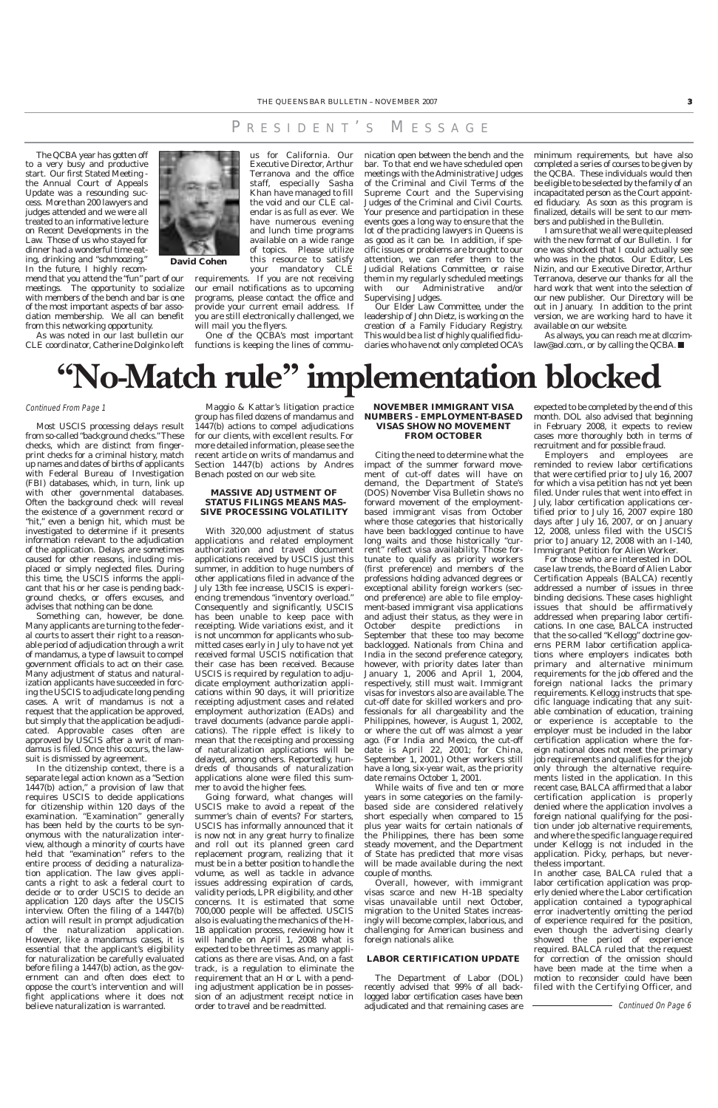The QCBA year has gotten off to a very busy and productive start. Our first Stated Meeting the Annual Court of Appeals Update was a resounding success. More than 200 lawyers and judges attended and we were all treated to an informative lecture on Recent Developments in the Law. Those of us who stayed for dinner had a wonderful time eating, drinking and "schmoozing." In the future, I highly recom-

mend that you attend the "fun" part of our meetings. The opportunity to socialize with members of the bench and bar is one of the most important aspects of bar association membership. We all can benefit from this networking opportunity.

us for California. Our

Executive Director, Arthur Terranova and the office staff, especially Sasha Khan have managed to fill the void and our CLE calendar is as full as ever. We have numerous evening and lunch time programs available on a wide range of topics. Please utilize this resource to satisfy your mandatory CLE

As was noted in our last bulletin our CLE coordinator, Catherine Dolginko left functions is keeping the lines of commu-



requirements. If you are not receiving our email notifications as to upcoming programs, please contact the office and provide your current email address. If you are still electronically challenged, we will mail you the flyers.

One of the QCBA's most important

nication open between the bench and the bar. To that end we have scheduled open meetings with the Administrative Judges of the Criminal and Civil Terms of the Supreme Court and the Supervising Judges of the Criminal and Civil Courts. Your presence and participation in these events goes a long way to ensure that the lot of the practicing lawyers in Queens is as good as it can be. In addition, if specific issues or problems are brought to our attention, we can refer them to the Judicial Relations Committee, or raise them in my regularly scheduled meetings with our Administrative and/or Supervising Judges.

Our Elder Law Committee, under the leadership of John Dietz, is working on the creation of a Family Fiduciary Registry. This would be a list of highly qualified fiduciaries who have not only completed OCA's minimum requirements, but have also completed a series of courses to be given by the QCBA. These individuals would then be eligible to be selected by the family of an incapacitated person as the Court appointed fiduciary. As soon as this program is finalized, details will be sent to our members and published in the Bulletin.

I am sure that we all were quite pleased with the new format of our Bulletin. I for one was shocked that I could actually see who was in the photos. Our Editor, Les Nizin, and our Executive Director, Arthur Terranova, deserve our thanks for all the hard work that went into the selection of our new publisher. Our Directory will be out in January. In addition to the print version, we are working hard to have it available on our website.

As always, you can reach me at dlccrimlaw@aol.com., or by calling the QCBA. ■

**David Cohen**

Most USCIS processing delays result from so-called "background checks." These checks, which are distinct from fingerprint checks for a criminal history, match up names and dates of births of applicants with Federal Bureau of Investigation (FBI) databases, which, in turn, link up with other governmental databases. Often the background check will reveal the existence of a government record or "hit," even a benign hit, which must be investigated to determine if it presents information relevant to the adjudication of the application. Delays are sometimes caused for other reasons, including misplaced or simply neglected files. During this time, the USCIS informs the applicant that his or her case is pending background checks, or offers excuses, and advises that nothing can be done.

Something can, however, be done. Many applicants are turning to the federal courts to assert their right to a reasonable period of adjudication through a writ of mandamus, a type of lawsuit to compel government officials to act on their case. Many adjustment of status and naturalization applicants have succeeded in forcing the USCIS to adjudicate long pending cases. A writ of mandamus is not a request that the application be approved, but simply that the application be adjudicated. Approvable cases often are approved by USCIS after a writ of mandamus is filed. Once this occurs, the lawsuit is dismissed by agreement.

In the citizenship context, there is a separate legal action known as a "Section 1447(b) action," a provision of law that requires USCIS to decide applications for citizenship within 120 days of the examination. "Examination" generally has been held by the courts to be synonymous with the naturalization interview, although a minority of courts have held that "examination" refers to the entire process of deciding a naturalization application. The law gives applicants a right to ask a federal court to decide or to order USCIS to decide an application 120 days after the USCIS interview. Often the filing of a 1447(b) action will result in prompt adjudication of the naturalization application. However, like a mandamus cases, it is essential that the applicant's eligibility for naturalization be carefully evaluated before filing a 1447(b) action, as the government can and often does elect to oppose the court's intervention and will fight applications where it does not believe naturalization is warranted.

Maggio & Kattar's litigation practice group has filed dozens of mandamus and 1447(b) actions to compel adjudications for our clients, with excellent results. For more detailed information, please see the recent article on writs of mandamus and Section 1447(b) actions by Andres Benach posted on our web site.

#### **MASSIVE ADJUSTMENT OF STATUS FILINGS MEANS MAS-SIVE PROCESSING VOLATILITY**

With 320,000 adjustment of status applications and related employment authorization and travel document applications received by USCIS just this summer, in addition to huge numbers of other applications filed in advance of the July 13th fee increase, USCIS is experiencing tremendous "inventory overload." Consequently and significantly, USCIS has been unable to keep pace with receipting. Wide variations exist, and it is not uncommon for applicants who submitted cases early in July to have not yet received formal USCIS notification that their case has been received. Because USCIS is required by regulation to adjudicate employment authorization applications within 90 days, it will prioritize receipting adjustment cases and related employment authorization (EADs) and travel documents (advance parole applications). The ripple effect is likely to mean that the receipting and processing of naturalization applications will be delayed, among others. Reportedly, hundreds of thousands of naturalization applications alone were filed this summer to avoid the higher fees.

Going forward, what changes will USCIS make to avoid a repeat of the summer's chain of events? For starters, USCIS has informally announced that it is now not in any great hurry to finalize and roll out its planned green card replacement program, realizing that it must be in a better position to handle the volume, as well as tackle in advance issues addressing expiration of cards, validity periods, LPR eligibility, and other concerns. It is estimated that some 700,000 people will be affected. USCIS also is evaluating the mechanics of the H-1B application process, reviewing how it will handle on April 1, 2008 what is expected to be three times as many applications as there are visas. And, on a fast track, is a regulation to eliminate the requirement that an H or L with a pending adjustment application be in possession of an adjustment receipt notice in order to travel and be readmitted.

#### **NOVEMBER IMMIGRANT VISA NUMBERS - EMPLOYMENT-BASED VISAS SHOW NO MOVEMENT FROM OCTOBER**

Citing the need to determine what the impact of the summer forward movement of cut-off dates will have on demand, the Department of State's (DOS) November Visa Bulletin shows no forward movement of the employmentbased immigrant visas from October where those categories that historically have been backlogged continue to have long waits and those historically "current" reflect visa availability. Those fortunate to qualify as priority workers (first preference) and members of the professions holding advanced degrees or exceptional ability foreign workers (second preference) are able to file employment-based immigrant visa applications and adjust their status, as they were in October despite predictions in September that these too may become backlogged. Nationals from China and India in the second preference category, however, with priority dates later than January 1, 2006 and April 1, 2004, respectively, still must wait. Immigrant visas for investors also are available. The cut-off date for skilled workers and professionals for all chargeability and the Philippines, however, is August 1, 2002, or where the cut off was almost a year ago. (For India and Mexico, the cut-off date is April 22, 2001; for China, September 1, 2001.) Other workers still have a long, six-year wait, as the priority date remains October 1, 2001.

While waits of five and ten or more years in some categories on the familybased side are considered relatively short especially when compared to 15 plus year waits for certain nationals of the Philippines, there has been some steady movement, and the Department of State has predicted that more visas will be made available during the next couple of months. Overall, however, with immigrant visas scarce and new H-1B specialty visas unavailable until next October, migration to the United States increasingly will become complex, laborious, and challenging for American business and foreign nationals alike.

#### **LABOR CERTIFICATION UPDATE**

The Department of Labor (DOL) recently advised that 99% of all backlogged labor certification cases have been adjudicated and that remaining cases are

- Continued On Page 6

expected to be completed by the end of this month. DOL also advised that beginning in February 2008, it expects to review cases more thoroughly both in terms of recruitment and for possible fraud.

Employers and employees are reminded to review labor certifications that were certified prior to July 16, 2007 for which a visa petition has not yet been filed. Under rules that went into effect in July, labor certification applications certified prior to July 16, 2007 expire 180 days after July 16, 2007, or on January 12, 2008, unless filed with the USCIS prior to January 12, 2008 with an I-140, Immigrant Petition for Alien Worker.

For those who are interested in DOL case law trends, the Board of Alien Labor Certification Appeals (BALCA) recently addressed a number of issues in three binding decisions. These cases highlight issues that should be affirmatively addressed when preparing labor certifications. In one case, BALCA instructed that the so-called "Kellogg" doctrine governs PERM labor certification applications where employers indicates both primary and alternative minimum requirements for the job offered and the foreign national lacks the primary requirements. Kellogg instructs that specific language indicating that any suitable combination of education, training or experience is acceptable to the employer must be included in the labor certification application where the foreign national does not meet the primary job requirements and qualifies for the job only through the alternative requirements listed in the application. In this recent case, BALCA affirmed that a labor certification application is properly denied where the application involves a foreign national qualifying for the position under job alternative requirements, and where the specific language required under Kellogg is not included in the application. Picky, perhaps, but nevertheless important. In another case, BALCA ruled that a labor certification application was properly denied where the Labor certification application contained a typographical error inadvertently omitting the period of experience required for the position, even though the advertising clearly showed the period of experience required. BALCA ruled that the request for correction of the omission should have been made at the time when a motion to reconsider could have been filed with the Certifying Officer, and



#### Continued From Page 1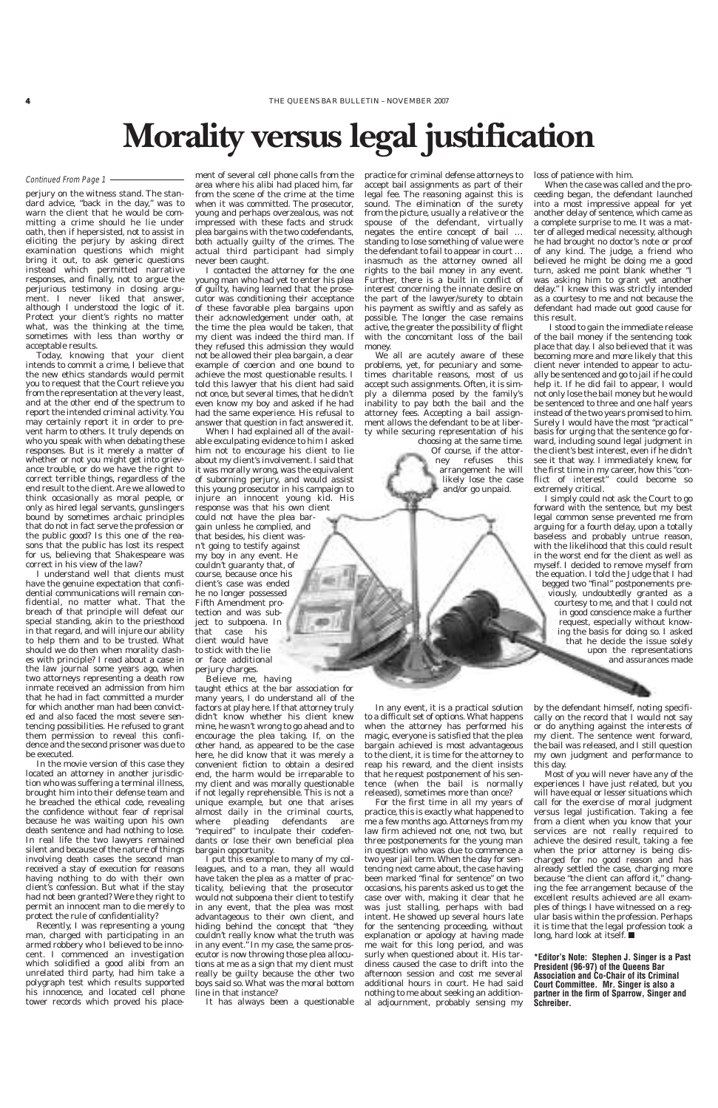perjury on the witness stand. The standard advice, "back in the day," was to warn the client that he would be committing a crime should he lie under oath, then if hepersisted, not to assist in eliciting the perjury by asking direct examination questions which might bring it out, to ask generic questions instead which permitted narrative responses, and finally, not to argue the perjurious testimony in closing argument. I never liked that answer, although I understood the logic of it. Protect your client's rights no matter what, was the thinking at the time, sometimes with less than worthy or acceptable results.

Today, knowing that your client intends to commit a crime, I believe that the new ethics standards would permit you to request that the Court relieve you from the representation at the very least, and at the other end of the spectrum to report the intended criminal activity. You may certainly report it in order to prevent harm to others. It truly depends on who you speak with when debating these responses. But is it merely a matter of whether or not you might get into grievance trouble, or do we have the right to correct terrible things, regardless of the end result to the client. Are we allowed to think occasionally as moral people, or only as hired legal servants, gunslingers bound by sometimes archaic principles that do not in fact serve the profession or the public good? Is this one of the reasons that the public has lost its respect for us, believing that Shakespeare was correct in his view of the law?

I understand well that clients must have the genuine expectation that confidential communications will remain confidential, no matter what. That the breach of that principle will defeat our special standing, akin to the priesthood in that regard, and will injure our ability to help them and to be trusted. What should we do then when morality clashes with principle? I read about a case in the law journal some years ago, when two attorneys representing a death row inmate received an admission from him that he had in fact committed a murder for which another man had been convicted and also faced the most severe sentencing possibilities. He refused to grant them permission to reveal this confidence and the second prisoner was due to be executed.

In the movie version of this case they located an attorney in another jurisdiction who was suffering a terminal illness, brought him into their defense team and he breached the ethical code, revealing the confidence without fear of reprisal because he was waiting upon his own death sentence and had nothing to lose. In real life the two lawyers remained silent and because of the nature of things involving death cases the second man received a stay of execution for reasons having nothing to do with their own client's confession. But what if the stay had not been granted? Were they right to permit an innocent man to die merely to protect the rule of confidentiality? Recently, I was representing a young man, charged with participating in an armed robbery who I believed to be innocent. I commenced an investigation which solidified a good alibi from an unrelated third party, had him take a polygraph test which results supported his innocence, and located cell phone tower records which proved his place-

ment of several cell phone calls from the area where his alibi had placed him, far from the scene of the crime at the time when it was committed. The prosecutor, young and perhaps overzealous, was not impressed with these facts and struck plea bargains with the two codefendants, both actually guilty of the crimes. The actual third participant had simply never been caught.

I contacted the attorney for the one young man who had yet to enter his plea of guilty, having learned that the prosecutor was conditioning their acceptance of these favorable plea bargains upon their acknowledgement under oath, at the time the plea would be taken, that my client was indeed the third man. If they refused this admission they would not be allowed their plea bargain, a clear example of coercion and one bound to achieve the most questionable results. I told this lawyer that his client had said not once, but several times, that he didn't even know my boy and asked if he had had the same experience. His refusal to answer that question in fact answered it.

When I had explained all of the available exculpating evidence to him I asked him not to encourage his client to lie about my client's involvement. I said that it was morally wrong, was the equivalent of suborning perjury, and would assist this young prosecutor in his campaign to injure an innocent young kid. His response was that his own client could not have the plea bargain unless he complied, and that besides, his client wasn't going to testify against my boy in any event. He couldn't guaranty that, of course, because once his client's case was ended he no longer possessed Fifth Amendment protection and was subject to subpoena. In that case his client would have to stick with the lie or face additional perjury charges.

Believe me, having

taught ethics at the bar association for many years, I do understand all of the factors at play here. If that attorney truly didn't know whether his client knew mine, he wasn't wrong to go ahead and to encourage the plea taking. If, on the other hand, as appeared to be the case here, he did know that it was merely a convenient fiction to obtain a desired end, the harm would be irreparable to my client and was morally questionable if not legally reprehensible. This is not a unique example, but one that arises almost daily in the criminal courts, where pleading defendants are "required" to inculpate their codefendants or lose their own beneficial plea bargain opportunity. I put this example to many of my colleagues, and to a man, they all would have taken the plea as a matter of practicality, believing that the prosecutor would not subpoena their client to testify in any event, that the plea was most advantageous to their own client, and hiding behind the concept that "they couldn't really know what the truth was in any event." In my case, the same prosecutor is now throwing those plea allocutions at me as a sign that my client must really be guilty because the other two boys said so. What was the moral bottom line in that instance?

It has always been a questionable

practice for criminal defense attorneys to accept bail assignments as part of their legal fee. The reasoning against this is sound. The elimination of the surety from the picture, usually a relative or the spouse of the defendant, virtually negates the entire concept of bail … standing to lose something of value were the defendant to fail to appear in court … inasmuch as the attorney owned all rights to the bail money in any event. Further, there is a built in conflict of interest concerning the innate desire on the part of the lawyer/surety to obtain his payment as swiftly and as safely as possible. The longer the case remains active, the greater the possibility of flight with the concomitant loss of the bail money.

We all are acutely aware of these problems, yet, for pecuniary and sometimes charitable reasons, most of us accept such assignments. Often, it is simply a dilemma posed by the family's inability to pay both the bail and the attorney fees. Accepting a bail assignment allows the defendant to be at liberty while securing representation of his

> choosing at the same time. Of course, if the attorney refuses this arrangement he will likely lose the case and/or go unpaid.

In any event, it is a practical solution to a difficult set of options. What happens when the attorney has performed his magic, everyone is satisfied that the plea bargain achieved is most advantageous to the client, it is time for the attorney to reap his reward, and the client insists that he request postponement of his sentence (when the bail is normally released), sometimes more than once?

For the first time in all my years of actice, this is exactly what happened to me a few months ago. Attorneys from my law firm achieved not one, not two, but three postponements for the young man in question who was due to commence a two year jail term. When the day for sentencing next came about, the case having been marked "final for sentence" on two occasions, his parents asked us to get the case over with, making it clear that he was just stalling, perhaps with bad intent. He showed up several hours late for the sentencing proceeding, without explanation or apology at having made me wait for this long period, and was surly when questioned about it. His tardiness caused the case to drift into the afternoon session and cost me several additional hours in court. He had said nothing to me about seeking an additional adjournment, probably sensing my loss of patience with him.

When the case was called and the proceeding began, the defendant launched into a most impressive appeal for yet another delay of sentence, which came as a complete surprise to me. It was a matter of alleged medical necessity, although he had brought no doctor's note or proof of any kind. The judge, a friend who believed he might be doing me a good turn, asked me point blank whether "I was asking him to grant yet another delay." I knew this was strictly intended as a courtesy to me and not because the defendant had made out good cause for this result.

I stood to gain the immediate release of the bail money if the sentencing took place that day. I also believed that it was becoming more and more likely that this client never intended to appear to actually be sentenced and go to jail if he could help it. If he did fail to appear, I would not only lose the bail money but he would be sentenced to three and one half years instead of the two years promised to him. Surely I would have the most "practical" basis for urging that the sentence go forward, including sound legal judgment in the client's best interest, even if he didn't see it that way. I immediately knew, for the first time in my career, how this "conflict of interest" could become so extremely critical.

I simply could not ask the Court to go forward with the sentence, but my best legal common sense prevented me from arguing for a fourth delay, upon a totally baseless and probably untrue reason, with the likelihood that this could result in the worst end for the client as well as myself. I decided to remove myself from the equation. I told the Judge that I had begged two "final" postponements previously, undoubtedly granted as a courtesy to me, and that I could not in good conscience make a further request, especially without knowing the basis for doing so. I asked that he decide the issue solely upon the representations and assurances made



Most of you will never have any of the experiences I have just related, but you will have equal or lesser situations which call for the exercise of moral judgment versus legal justification. Taking a fee from a client when you know that your services are not really required to achieve the desired result, taking a fee when the prior attorney is being discharged for no good reason and has already settled the case, charging more because "the client can afford it," changing the fee arrangement because of the excellent results achieved are all examples of things I have witnessed on a regular basis within the profession. Perhaps it is time that the legal profession took a long, hard look at itself. ■

**\*Editor's Note: Stephen J. Singer is a Past President (96-97) of the Queens Bar Association and Co-Chair of its Criminal Court Committee. Mr. Singer is also a partner in the firm of Sparrow, Singer and Schreiber.**

### **Morality versus legal justification**

#### Continued From Page 1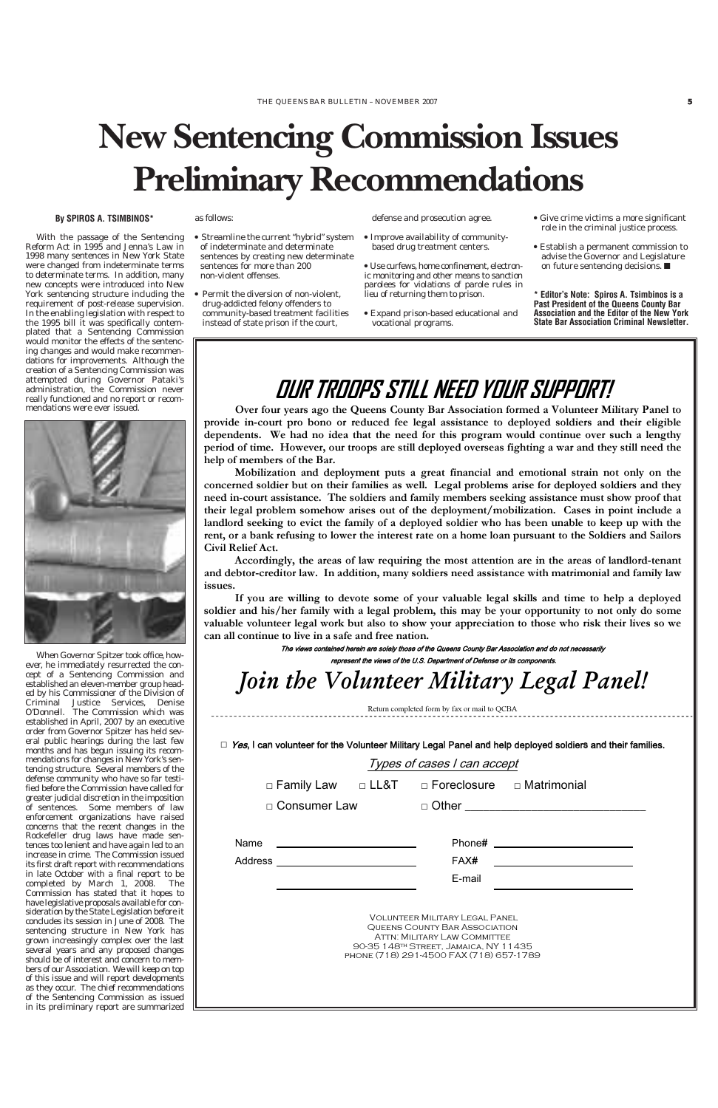With the passage of the Sentencing Reform Act in 1995 and Jenna's Law in 1998 many sentences in New York State were changed from indeterminate terms to determinate terms. In addition, many new concepts were introduced into New York sentencing structure including the requirement of post-release supervision. In the enabling legislation with respect to the 1995 bill it was specifically contemplated that a Sentencing Commission would monitor the effects of the sentencing changes and would make recommendations for improvements. Although the creation of a Sentencing Commission was attempted during Governor Pataki's administration, the Commission never really functioned and no report or recommendations were ever issued.



When Governor Spitzer took office, however, he immediately resurrected the concept of a Sentencing Commission and established an eleven-member group headed by his Commissioner of the Division of Criminal Justice Services, Denise O'Donnell. The Commission which was established in April, 2007 by an executive order from Governor Spitzer has held several public hearings during the last few months and has begun issuing its recommendations for changes in New York's sentencing structure. Several members of the defense community who have so far testified before the Commission have called for greater judicial discretion in the imposition of sentences. Some members of law enforcement organizations have raised concerns that the recent changes in the Rockefeller drug laws have made sentences too lenient and have again led to an increase in crime. The Commission issued its first draft report with recommendations in late October with a final report to be completed by March 1, 2008. The Commission has stated that it hopes to have legislative proposals available for consideration by the State Legislation before it concludes its session in June of 2008. The sentencing structure in New York has grown increasingly complex over the last several years and any proposed changes should be of interest and concern to members of our Association. We will keep on top of this issue and will report developments as they occur. The chief recommendations of the Sentencing Commission as issued in its preliminary report are summarized as follows:

- Streamline the current "hybrid" system of indeterminate and determinate sentences by creating new determinate sentences for more than 200 non-violent offenses.
- Permit the diversion of non-violent, drug-addicted felony offenders to community-based treatment facilities instead of state prison if the court,

defense and prosecution agree.

| Name    | Phone#                                                                                                                                                                                     |  |
|---------|--------------------------------------------------------------------------------------------------------------------------------------------------------------------------------------------|--|
| Address | FAX#                                                                                                                                                                                       |  |
|         | E-mail                                                                                                                                                                                     |  |
|         | <b>VOLUNTEER MILITARY LEGAL PANEL</b><br>QUEENS COUNTY BAR ASSOCIATION<br>ATTN: MILITARY LAW COMMITTEE<br>90-35 148TH STREET, JAMAICA, NY 11435<br>PHONE (718) 291-4500 FAX (718) 657-1789 |  |

- Improve availability of communitybased drug treatment centers.
- Use curfews, home confinement, electronic monitoring and other means to sanction parolees for violations of parole rules in lieu of returning them to prison.
- Expand prison-based educational and vocational programs.
- Give crime victims a more significant role in the criminal justice process.
- Establish a permanent commission to advise the Governor and Legislature on future sentencing decisions. ■

**\* Editor's Note: Spiros A. Tsimbinos is a Past President of the Queens County Bar Association and the Editor of the New York State Bar Association Criminal Newsletter.**

#### **By SPIROS A. TSIMBINOS\***

### **OUR TROOPS STILL NEED YOUR SUPPORT!**

**Over four years ago the Queens County Bar Association formed a Volunteer Military Panel to provide in-court pro bono or reduced fee legal assistance to deployed soldiers and their eligible dependents. We had no idea that the need for this program would continue over such a lengthy period of time. However, our troops are still deployed overseas fighting a war and they still need the help of members of the Bar.** 

**Mobilization and deployment puts a great financial and emotional strain not only on the concerned soldier but on their families as well. Legal problems arise for deployed soldiers and they need in-court assistance. The soldiers and family members seeking assistance must show proof that their legal problem somehow arises out of the deployment/mobilization. Cases in point include a**  landlord seeking to evict the family of a deployed soldier who has been unable to keep up with the **rent, or a bank refusing to lower the interest rate on a home loan pursuant to the Soldiers and Sailors Civil Relief Act.** 

**Accordingly, the areas of law requiring the most attention are in the areas of landlord-tenant and debtor-creditor law. In addition, many soldiers need assistance with matrimonial and family law issues.** 

**If you are willing to devote some of your valuable legal skills and time to help a deployed soldier and his/her family with a legal problem, this may be your opportunity to not only do some valuable volunteer legal work but also to show your appreciation to those who risk their lives so we can all continue to live in a safe and free nation.**

> The views contained herein are solely those of the Queens County Bar Association and do not necessarily represent the views of the U.S. Department of Defense or its components.

Join the Volunteer Military Legal Panel!

Return completed form by fax or mail to QCBA

 $\Box$  Yes, I can volunteer for the Volunteer Military Legal Panel and help deployed soldiers and their families.

Types of cases I can accept

 $\Box$  Family Law  $\Box$  LL&T  $\Box$  Foreclosure  $\Box$  Matrimonial

 $\Box$  Consumer Law  $\Box$  Other

## **New Sentencing Commission Issues Preliminary Recommendations**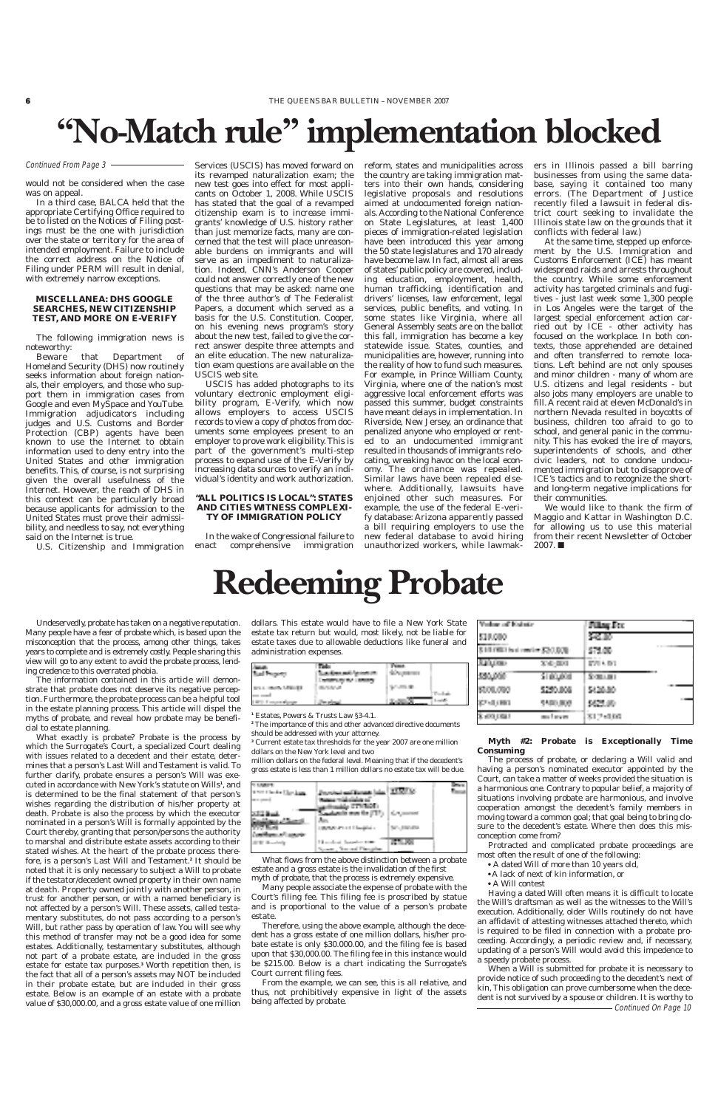## **"No-Match rule" implementation blocked**

would not be considered when the case was on appeal.

In a third case, BALCA held that the appropriate Certifying Office required to be to listed on the Notices of Filing postings must be the one with jurisdiction over the state or territory for the area of intended employment. Failure to include the correct address on the Notice of Filing under PERM will result in denial, with extremely narrow exceptions.

#### **MISCELLANEA: DHS GOOGLE SEARCHES, NEW CITIZENSHIP TEST, AND MORE ON E-VERIFY**

The following immigration news is noteworthy:

Beware that Department of Homeland Security (DHS) now routinely seeks information about foreign nationals, their employers, and those who support them in immigration cases from Google and even MySpace and YouTube. Immigration adjudicators including judges and U.S. Customs and Border Protection (CBP) agents have been known to use the Internet to obtain information used to deny entry into the United States and other immigration benefits. This, of course, is not surprising given the overall usefulness of the Internet. However, the reach of DHS in this context can be particularly broad because applicants for admission to the United States must prove their admissibility, and needless to say, not everything said on the Internet is true.

U.S. Citizenship and Immigration

Services (USCIS) has moved forward on its revamped naturalization exam; the new test goes into effect for most applicants on October 1, 2008. While USCIS has stated that the goal of a revamped citizenship exam is to increase immigrants' knowledge of U.S. history rather than just memorize facts, many are concerned that the test will place unreasonable burdens on immigrants and will serve as an impediment to naturalization. Indeed, CNN's Anderson Cooper could not answer correctly one of the new questions that may be asked: name one of the three author's of The Federalist Papers, a document which served as a basis for the U.S. Constitution. Cooper, on his evening news program's story about the new test, failed to give the correct answer despite three attempts and an elite education. The new naturalization exam questions are available on the USCIS web site.

USCIS has added photographs to its voluntary electronic employment eligibility program, E-Verify, which now allows employers to access USCIS records to view a copy of photos from documents some employees present to an employer to prove work eligibility. This is part of the government's multi-step process to expand use of the E-Verify by increasing data sources to verify an individual's identity and work authorization.

#### **"ALL POLITICS IS LOCAL": STATES AND CITIES WITNESS COMPLEXI-TY OF IMMIGRATION POLICY**

In the wake of Congressional failure to<br>act comprehensive immigration enact comprehensive

reform, states and municipalities across the country are taking immigration matters into their own hands, considering legislative proposals and resolutions aimed at undocumented foreign nationals. According to the National Conference on State Legislatures, at least 1,400 pieces of immigration-related legislation have been introduced this year among the 50 state legislatures and 170 already have become law. In fact, almost all areas of states' public policy are covered, including education, employment, health, human trafficking, identification and drivers' licenses, law enforcement, legal services, public benefits, and voting. In some states like Virginia, where all General Assembly seats are on the ballot this fall, immigration has become a key statewide issue. States, counties, and municipalities are, however, running into the reality of how to fund such measures. For example, in Prince William County, Virginia, where one of the nation's most aggressive local enforcement efforts was passed this summer, budget constraints have meant delays in implementation. In Riverside, New Jersey, an ordinance that penalized anyone who employed or rented to an undocumented immigrant resulted in thousands of immigrants relocating, wreaking havoc on the local economy. The ordinance was repealed. Similar laws have been repealed elsewhere. Additionally, lawsuits have enjoined other such measures. For example, the use of the federal E-verify database: Arizona apparently passed a bill requiring employers to use the new federal database to avoid hiring unauthorized workers, while lawmak-

What exactly is probate? Probate is the process by which the Surrogate's Court, a specialized Court dealing with issues related to a decedent and their estate, determines that a person's Last Will and Testament is valid. To further clarify, probate ensures a person's Will was executed in accordance with New York's statute on Wills**<sup>1</sup>** , and is determined to be the final statement of that person's wishes regarding the distribution of his/her property at death. Probate is also the process by which the execu nominated in a person's Will is formally appointed by the Court thereby, granting that person/persons the authority to marshal and distribute estate assets according to their stated wishes. At the heart of the probate process therefore, is a person's Last Will and Testament.**<sup>2</sup>** It should be noted that it is only necessary to subject a Will to probate if the testator/decedent owned property in their own name at death. Property owned jointly with another person, in trust for another person, or with a named beneficiary is not affected by a person's Will. These assets, called testamentary substitutes, do not pass according to a person's Will, but rather pass by operation of law. You will see why this method of transfer may not be a good idea for some estates. Additionally, testamentary substitutes, although not part of a probate estate, are included in the gross estate for estate tax purposes.**<sup>3</sup>** Worth repetition then, is the fact that all of a person's assets may NOT be included in their probate estate, but are included in their gross estate. Below is an example of an estate with a probate value of \$30,000.00, and a gross estate value of one million ers in Illinois passed a bill barring businesses from using the same database, saying it contained too many errors. (The Department of Justice recently filed a lawsuit in federal district court seeking to invalidate the Illinois state law on the grounds that it conflicts with federal law.)

At the same time, stepped up enforcement by the U.S. Immigration and Customs Enforcement (ICE) has meant widespread raids and arrests throughout the country. While some enforcement activity has targeted criminals and fugitives - just last week some 1,300 people in Los Angeles were the target of the largest special enforcement action carried out by ICE - other activity has focused on the workplace. In both contexts, those apprehended are detained and often transferred to remote locations. Left behind are not only spouses and minor children - many of whom are U.S. citizens and legal residents - but also jobs many employers are unable to fill. A recent raid at eleven McDonald's in northern Nevada resulted in boycotts of business, children too afraid to go to school, and general panic in the community. This has evoked the ire of mayors, superintendents of schools, and other civic leaders, not to condone undocumented immigration but to disapprove of ICE's tactics and to recognize the shortand long-term negative implications for their communities.

We would like to thank the firm of Maggio and Kattar in Washington D.C. for allowing us to use this material from their recent Newsletter of October 2007. ■

#### Continued From Page 3

Undeservedly, probate has taken on a negative reputation. Many people have a fear of probate which, is based upon the misconception that the process, among other things, takes years to complete and is extremely costly. People sharing this view will go to any extent to avoid the probate process, lending credence to this overrated phobia.

The information contained in this article will demonstrate that probate does not deserve its negative perception. Furthermore, the probate process can be a helpful tool in the estate planning process. This article will dispel the myths of probate, and reveal how probate may be beneficial to estate planning.

dollars. This estate would have to file a New York State estate tax return but would, most likely, not be liable for estate taxes due to allowable deductions like funeral and administration expenses.

| <b>Literature</b>        |                        |                 |  |
|--------------------------|------------------------|-----------------|--|
| <b>Built Property</b>    | Secretary and American | <b>SCANDING</b> |  |
|                          |                        |                 |  |
| <b>START MARK STREET</b> |                        | STATISTICS.     |  |
|                          |                        |                 |  |
| 1.000 Freezewalders      |                        | <b>STATIONS</b> |  |

**<sup>1</sup>** Estates, Powers & Trusts Law §3-4.1.

**<sup>2</sup>** The importance of this and other advanced directive documents should be addressed with your attorney.

**<sup>3</sup>** Current estate tax thresholds for the year 2007 are one million dollars on the New York level and two

million dollars on the federal level. Meaning that if the decedent's gross estate is less than 1 million dollars no estate tax will be due.

| 101008-011             |                                        |  |
|------------------------|----------------------------------------|--|
| 1970 United Stations   | Line States (Renault Julian 1933-2014) |  |
|                        | because welchelighte as                |  |
|                        | <b>Monday STYLESS:</b>                 |  |
| <b>SCIENTIFICATION</b> |                                        |  |

| Verbaut auf Kalinter              |           | Filing Fee | <b>CONTRACTOR</b> |
|-----------------------------------|-----------|------------|-------------------|
| 530,000                           |           | 53. IO     |                   |
| 3 Mill 1983 had a writer \$20,000 |           | 571.00     |                   |
| Subjects.                         | 医紫色杆菌     | 第四 大学期     |                   |
| 130,000                           | Si piyota | Somano i   | ----              |
| SUOLORO                           | 5250.006  | 5428.80    |                   |
| 第四章 印刷                            | 5500,000  | 经过期        |                   |
| 第100月6日                           | mu Loven  | 医眼下细胞瘤     |                   |

What flows from the above distinction between a probate estate and a gross estate is the invalidation of the first myth of probate, that the process is extremely expensive.

Many people associate the expense of probate with the Court's filing fee. This filing fee is proscribed by statue and is proportional to the value of a person's probate estate.

Therefore, using the above example, although the decedent has a gross estate of one million dollars, his/her probate estate is only \$30.000.00, and the filing fee is based upon that \$30,000.00. The filing fee in this instance would be \$215.00. Below is a chart indicating the Surrogate's Court current filing fees.

From the example, we can see, this is all relative, and thus, not prohibitively expensive in light of the assets being affected by probate.

#### **Myth #2: Probate is Exceptionally Time Consuming**

The process of probate, or declaring a Will valid and having a person's nominated executor appointed by the Court, can take a matter of weeks provided the situation is a harmonious one. Contrary to popular belief, a majority of situations involving probate are harmonious, and involve cooperation amongst the decedent's family members in

| <b>College of the college of the State</b><br><b><i>Indiana Castroll</i></b> |                               |             |  |
|------------------------------------------------------------------------------|-------------------------------|-------------|--|
| 07. Budi                                                                     | <b>LINDAY AT LEFT HANDLER</b> | Dength Care |  |
| and them and accorder.                                                       |                               |             |  |
| <b>CONTRACTOR</b>                                                            | 1. Incident formulas when     |             |  |
|                                                                              | Source: Secretary Figures and |             |  |

moving toward a common goal; that goal being to bring closure to the decedent's estate. Where then does this misconception come from?

Protracted and complicated probate proceedings are most often the result of one of the following:

● A dated Will of more than 10 years old,

● A lack of next of kin information, or

● A Will contest

Having a dated Will often means it is difficult to locate the Will's draftsman as well as the witnesses to the Will's execution. Additionally, older Wills routinely do not have an affidavit of attesting witnesses attached thereto, which is required to be filed in connection with a probate proceeding. Accordingly, a periodic review and, if necessary, updating of a person's Will would avoid this impedence to a speedy probate process.

When a Will is submitted for probate it is necessary to provide notice of such proceeding to the decedent's next of kin, This obligation can prove cumbersome when the decedent is not survived by a spouse or children. It is worthy to Continued On Page 10

## **Redeeming Probate**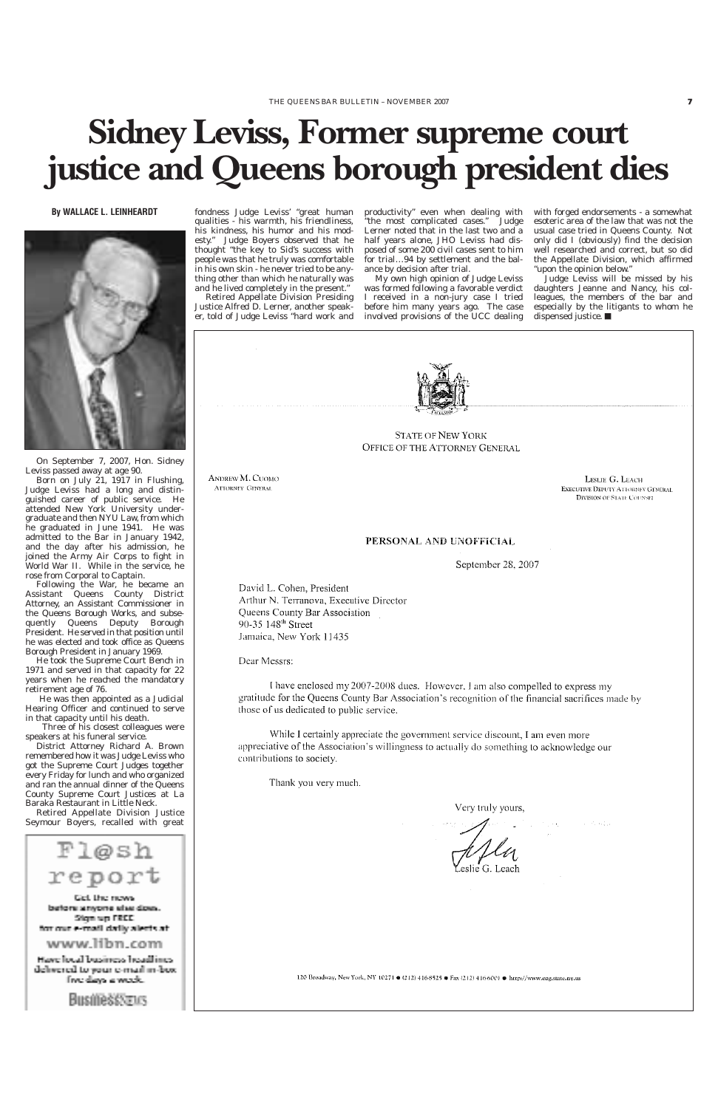#### **By WALLACE L. LEINHEARDT**



On September 7, 2007, Hon. Sidney Leviss passed away at age 90.

Born on July 21, 1917 in Flushing, Judge Leviss had a long and distinguished career of public service. He attended New York University undergraduate and then NYU Law, from which he graduated in June 1941. He was admitted to the Bar in January 1942, and the day after his admission, he joined the Army Air Corps to fight in World War II. While in the service, he rose from Corporal to Captain.

Following the War, he became an Assistant Queens County District Attorney, an Assistant Commissioner in the Queens Borough Works, and subsequently Queens Deputy Borough President. He served in that position until he was elected and took office as Queens Borough President in January 1969.

He took the Supreme Court Bench in 1971 and served in that capacity for 22 years when he reached the mandatory retirement age of 76.

He was then appointed as a Judicial Hearing Officer and continued to serve in that capacity until his death.

Three of his closest colleagues were speakers at his funeral service.

District Attorney Richard A. Brown remembered how it was Judge Leviss who got the Supreme Court Judges together every Friday for lunch and who organized and ran the annual dinner of the Queens County Supreme Court Justices at La Baraka Restaurant in Little Neck.

Retired Appellate Division Just

Seymour Boyers, recalled with great

Fløsh report Gel. the news. before anyone size does. Sign up FREE. for our e-mail daily alerts at: www.libn.com Have local business headlines. delivered to your c-mail in-box. fiye daya a weede.

**Businessveus** 

 $\mathcal{A} \in \mathcal{C}_{\mathcal{C}}$  established 120 Broadway, New York, NY 10271 ● (212) 416-8525 ● Fax (212) 416-6001 ● http://www.oag.state.ny.us

fondness Judge Leviss' "great human qualities - his warmth, his friendliness, his kindness, his humor and his modesty." Judge Boyers observed that he thought "the key to Sid's success with people was that he truly was comfortable in his own skin - he never tried to be anything other than which he naturally was and he lived completely in the present."

Retired Appellate Division Presiding Justice Alfred D. Lerner, another speaker, told of Judge Leviss "hard work and

productivity" even when dealing with "the most complicated cases." Judge Lerner noted that in the last two and a half years alone, JHO Leviss had disposed of some 200 civil cases sent to him for trial…94 by settlement and the balance by decision after trial.

My own high opinion of Judge Leviss was formed following a favorable verdict I received in a non-jury case I tried before him many years ago. The case involved provisions of the UCC dealing with forged endorsements - a somewhat esoteric area of the law that was not the usual case tried in Queens County. Not only did I (obviously) find the decision well researched and correct, but so did the Appellate Division, which affirmed "upon the opinion below."

Judge Leviss will be missed by his daughters Jeanne and Nancy, his colleagues, the members of the bar and especially by the litigants to whom he dispensed justice. ■



**STATE OF NEW YORK** OFFICE OF THE ATTORNEY GENERAL

ANDREW M. CUOMO **ATTORNEY GENERAL** 

LESLIE G. LEACH **EXECUTIVE DEPUTY ATTORNEY GENERAL DIVISION OF STATE COUNSEL** 

#### PERSONAL AND UNOFFICIAL

September 28, 2007

David L. Cohen, President Arthur N. Terranova, Executive Director Queens County Bar Association 90-35 148<sup>th</sup> Street Jamaica, New York 11435

Dear Messrs:

I have enclosed my 2007-2008 dues. However, I am also compelled to express my gratitude for the Queens County Bar Association's recognition of the financial sacrifices made by those of us dedicated to public service.

While I certainly appreciate the government service discount, I am even more appreciative of the Association's willingness to actually do something to acknowledge our contributions to society.

Thank you very much.

Very truly yours,

## **Sidney Leviss, Former supreme court justice and Queens borough president dies**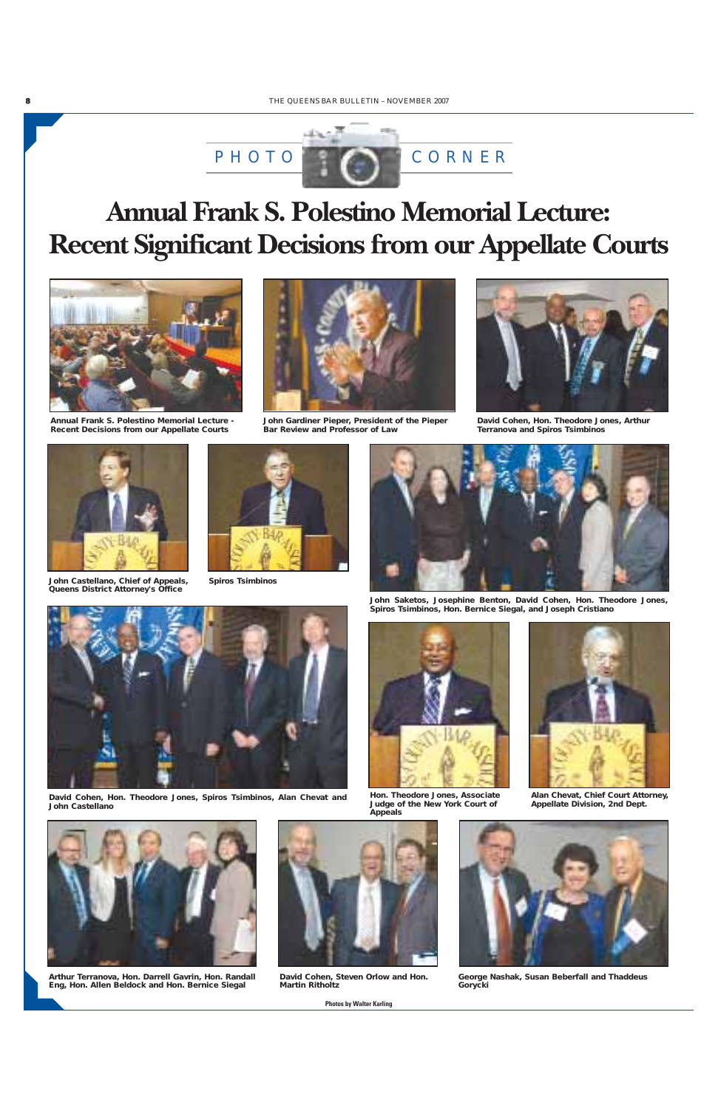

**John Castellano, Chief of Appeals, Queens District Attorney's Office**

**David Cohen, Hon. Theodore Jones, Spiros Tsimbinos, Alan Chevat and John Castellano**





**John Saketos, Josephine Benton, David Cohen, Hon. Theodore Jones, Spiros Tsimbinos, Hon. Bernice Siegal, and Joseph Cristiano**

**Arthur Terranova, Hon. Darrell Gavrin, Hon. Randall Eng, Hon. Allen Beldock and Hon. Bernice Siegal**



**David Cohen, Steven Orlow and Hon. Martin Ritholtz**



**George Nashak, Susan Beberfall and Thaddeus Gorycki**



**Spiros Tsimbinos**



**Hon. Theodore Jones, Associate Judge of the New York Court of Appeals**



**Alan Chevat, Chief Court Attorney, Appellate Division, 2nd Dept.**





**David Cohen, Hon. Theodore Jones, Arthur Terranova and Spiros Tsimbinos**



*Photos by Walter Karling*

### **Annual Frank S. Polestino Memorial Lecture: Recent Significant Decisions from our Appellate Courts**



**Annual Frank S. Polestino Memorial Lecture - Recent Decisions from our Appellate Courts**



**John Gardiner Pieper, President of the Pieper Bar Review and Professor of Law**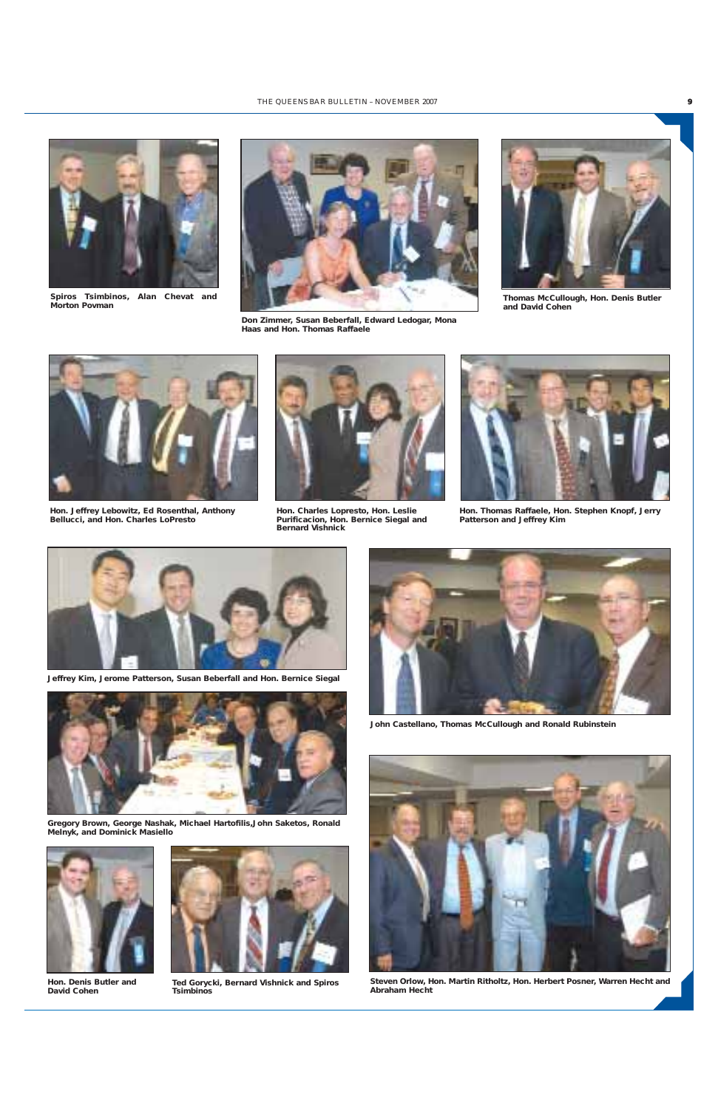**Gregory Brown, George Nashak, Michael Hartofilis,John Saketos, Ronald Melnyk, and Dominick Masiello**





**Jeffrey Kim, Jerome Patterson, Susan Beberfall and Hon. Bernice Siegal**





**Don Zimmer, Susan Beberfall, Edward Ledogar, Mona Haas and Hon. Thomas Raffaele**



**Hon. Jeffrey Lebowitz, Ed Rosenthal, Anthony Bellucci, and Hon. Charles LoPresto**



**Hon. Charles Lopresto, Hon. Leslie Purificacion, Hon. Bernice Siegal and Bernard Vishnick**



**Hon. Thomas Raffaele, Hon. Stephen Knopf, Jerry Patterson and Jeffrey Kim**

**Hon. Denis Butler and David Cohen**



**John Castellano, Thomas McCullough and Ronald Rubinstein**





**Ted Gorycki, Bernard Vishnick and Spiros Tsimbinos**

**Steven Orlow, Hon. Martin Ritholtz, Hon. Herbert Posner, Warren Hecht and Abraham Hecht**



**Thomas McCullough, Hon. Denis Butler and David Cohen**



**Spiros Tsimbinos, Alan Chevat and Morton Povman**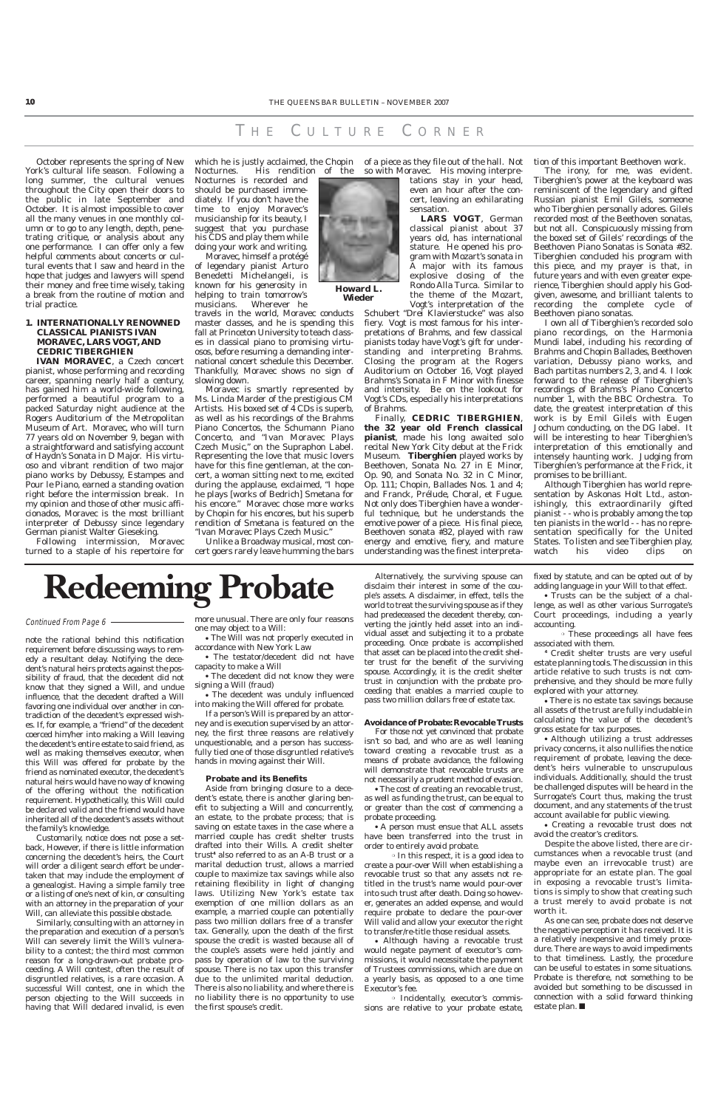October represents the spring of New York's cultural life season. Following a long summer, the cultural venues throughout the City open their doors to the public in late September and October. It is almost impossible to cover all the many venues in one monthly column or to go to any length, depth, penetrating critique, or analysis about any one performance. I can offer only a few helpful comments about concerts or cultural events that I saw and heard in the hope that judges and lawyers will spend their money and free time wisely, taking a break from the routine of motion and trial practice.

#### **1. INTERNATIONALLY RENOWNED CLASSICAL PIANISTS IVAN MORAVEC, LARS VOGT, AND CEDRIC TIBERGHIEN**

**IVAN MORAVEC**, a Czech concert pianist, whose performing and recording career, spanning nearly half a century, has gained him a world-wide following, performed a beautiful program to a packed Saturday night audience at the Rogers Auditorium of the Metropolitan Museum of Art. Moravec, who will turn 77 years old on November 9, began with a straightforward and satisfying account of Haydn's Sonata in D Major. His virtuoso and vibrant rendition of two major piano works by Debussy, *Estampes and Pour le Piano*, earned a standing ovation right before the intermission break. In my opinion and those of other music afficionados, Moravec is the most brilliant interpreter of Debussy since legendary German pianist Walter Gieseking.

Following intermission, Moravec turned to a staple of his repertoire for

which he is justly acclaimed, the Chopin of a piece as they file out of the hall. Not *Nocturnes*. His rendition of the

Nocturnes is recorded and should be purchased immediately. If you don't have the time to enjoy Moravec's musicianship for its beauty, I suggest that you purchase his CDS and play them while doing your work and writing.

Moravec, himself a protégé of legendary pianist Arturo Benedetti Michelangeli, is known for his generosity in helping to train tomorrow's musicians. Wherever he

travels in the world, Moravec conducts master classes, and he is spending this fall at Princeton University to teach classes in classical piano to promising virtuosos, before resuming a demanding international concert schedule this December. Thankfully, Moravec shows no sign of slowing down.

Moravec is smartly represented by Ms. Linda Marder of the prestigious CM Artists. His boxed set of 4 CDs is superb, as well as his recordings of the Brahms Piano Concertos, the Schumann Piano Concerto, and "Ivan Moravec Plays Czech Music," on the Supraphon Label. Representing the love that music lovers have for this fine gentleman, at the concert, a woman sitting next to me, excited during the applause, exclaimed, "I hope he plays [works of Bedrich] Smetana for his encore." Moravec chose more works by Chopin for his encores, but his superb rendition of Smetana is featured on the "Ivan Moravec Plays Czech Music."

Unlike a Broadway musical, most concert goers rarely leave humming the bars



so with Moravec. His moving interpre-

tations stay in your head, even an hour after the concert, leaving an exhilarating sensation.

**LARS VOGT**, German classical pianist about 37 years old, has international stature. He opened his program with Mozart's sonata in A major with its famous explosive closing of the Rondo Alla Turca. Similar to the theme of the Mozart, Vogt's interpretation of the

Schubert "Drei Klavierstucke" was also fiery. Vogt is most famous for his interpretations of Brahms, and few classical pianists today have Vogt's gift for understanding and interpreting Brahms. Closing the program at the Rogers Auditorium on October 16, Vogt played Brahms's Sonata in F Minor with finesse and intensity. Be on the lookout for Vogt's CDs, especially his interpretations of Brahms.

The testator/decedent did not have capacity to make a Will

• The decedent was unduly influenced into making the Will offered for probate.

Finally, **CEDRIC TIBERGHIEN**, **the 32 year old French classical pianist**, made his long awaited solo recital New York City debut at the Frick Museum. **Tiberghien** played works by Beethoven, Sonata No. 27 in E Minor, Op. 90, and Sonata No. 32 in C Minor, Op. 111; Chopin, Ballades Nos. 1 and 4; and Franck, Prélude, Choral, et Fugue. Not only does Tiberghien have a wonderful technique, but he understands the emotive power of a piece. His final piece, Beethoven sonata #32, played with raw energy and emotive, fiery, and mature understanding was the finest interpretation of this important Beethoven work.

The irony, for me, was evident. Tiberghien's power at the keyboard was reminiscent of the legendary and gifted Russian pianist Emil Gilels, someone who Tiberghien personally adores. Gilels recorded most of the Beethoven sonatas, but not all. Conspicuously missing from the boxed set of Gilels' recordings of the Beethoven Piano Sonatas is Sonata #32. Tiberghien concluded his program with this piece, and my prayer is that, in future years and with even greater experience, Tiberghien should apply his Godgiven, awesome, and brilliant talents to recording the complete cycle of Beethoven piano sonatas.

I own all of Tiberghien's recorded solo piano recordings, on the Harmonia Mundi label, including his recording of Brahms and Chopin Ballades, Beethoven variation, Debussy piano works, and Bach partitas numbers 2, 3, and 4. I look forward to the release of Tiberghien's recordings of Brahms's Piano Concerto number 1, with the BBC Orchestra. To date, the greatest interpretation of this work is by Emil Gilels with Eugen Jochum conducting, on the DG label. It will be interesting to hear Tiberghien's interpretation of this emotionally and intensely haunting work. Judging from Tiberghien's performance at the Frick, it promises to be brilliant.

• Although having a revocable trust would negate payment of executor's commissions, it would necessitate the payment of Trustees commissions, which are due on a yearly basis, as opposed to a one time Executor's fee.

Although Tiberghien has world representation by Askonas Holt Ltd., astonishingly, this extraordinarily gifted pianist - - who is probably among the top ten pianists in the world - - has no representation specifically for the United States. To listen and see Tiberghien play, watch his video clips on

**Howard L. Wieder**

note the rational behind this notification requirement before discussing ways to remedy a resultant delay. Notifying the decedent's natural heirs protects against the possibility of fraud, that the decedent did not know that they signed a Will, and undue influence, that the decedent drafted a Will favoring one individual over another in contradiction of the decedent's expressed wishes. If, for example, a "friend" of the decedent coerced him/her into making a Will leaving the decedent's entire estate to said friend, as well as making themselves executor, when this Will was offered for probate by the friend as nominated executor, the decedent's natural heirs would have no way of knowing of the offering without the notification requirement. Hypothetically, this Will could be declared valid and the friend would have

inherited all of the decedent's assets without the family's knowledge.

Customarily, notice does not pose a setback, However, if there is little information concerning the decedent's heirs, the Court will order a diligent search effort be undertaken that may include the employment of a genealogist. Having a simple family tree or a listing of one's next of kin, or consulting with an attorney in the preparation of your Will, can alleviate this possible obstacle.

Similarly, consulting with an attorney in the preparation and execution of a person's Will can severely limit the Will's vulnerability to a contest; the third most common reason for a long-drawn-out probate proceeding. A Will contest, often the result of disgruntled relatives, is a rare occasion. A successful Will contest, one in which the person objecting to the Will succeeds in having that Will declared invalid, is even

more unusual. There are only four reasons one may object to a Will:

● The Will was not properly executed in accordance with New York Law

● The decedent did not know they were signing a Will (fraud)

If a person's Will is prepared by an attorney and is execution supervised by an attorney, the first three reasons are relatively unquestionable, and a person has successfully tied one of those disgruntled relative's hands in moving against their Will.

#### **Probate and its Benefits**

Aside from bringing closure to a decedent's estate, there is another glaring benefit to subjecting a Will and concurrently, an estate, to the probate process; that is saving on estate taxes in the case where a married couple has credit shelter trusts drafted into their Wills. A credit shelter trust**<sup>4</sup>** also referred to as an A-B trust or a marital deduction trust, allows a married couple to maximize tax savings while also retaining flexibility in light of changing laws. Utilizing New York's estate tax exemption of one million dollars as an example, a married couple can potentially pass two million dollars free of a transfer tax. Generally, upon the death of the first spouse the credit is wasted because all of the couple's assets were held jointly and pass by operation of law to the surviving spouse. There is no tax upon this transfer due to the unlimited marital deduction. There is also no liability, and where there is no liability there is no opportunity to use the first spouse's credit.

Alternatively, the surviving spouse can disclaim their interest in some of the couple's assets. A disclaimer, in effect, tells the world to treat the surviving spouse as if they had predeceased the decedent thereby, converting the jointly held asset into an individual asset and subjecting it to a probate proceeding. Once probate is accomplished that asset can be placed into the credit shelter trust for the benefit of the surviving spouse. Accordingly, it is the credit shelter trust in conjunction with the probate proceeding that enables a married couple to pass two million dollars free of estate tax.

#### **Avoidance of Probate: Revocable Trusts**

For those not yet convinced that probate isn't so bad, and who are as well leaning toward creating a revocable trust as a means of probate avoidance, the following will demonstrate that revocable trusts are not necessarily a prudent method of evasion.

● The cost of creating an revocable trust, as well as funding the trust, can be equal to or greater than the cost of commencing a

probate proceeding.

● A person must ensue that ALL assets have been transferred into the trust in order to entirely avoid probate.

❍ In this respect, it is a good idea to create a pour-over Will when establishing a revocable trust so that any assets not retitled in the trust's name would pour-over into such trust after death. Doing so however, generates an added expense, and would require probate to declare the pour-over Will valid and allow your executor the right to transfer/re-title those residual assets.

❍ Incidentally, executor's commissions are relative to your probate estate, fixed by statute, and can be opted out of by adding language in your Will to that effect.

● Trusts can be the subject of a challenge, as well as other various Surrogate's Court proceedings, including a yearly accounting.

❍ These proceedings all have fees associated with them.

**<sup>4</sup>** Credit shelter trusts are very useful estate planning tools. The discussion in this article relative to such trusts is not comprehensive, and they should be more fully explored with your attorney.

● There is no estate tax savings because all assets of the trust are fully includable in calculating the value of the decedent's gross estate for tax purposes.

● Although utilizing a trust addresses privacy concerns, it also nullifies the notice requirement of probate, leaving the decedent's heirs vulnerable to unscrupulous individuals. Additionally, should the trust be challenged disputes will be heard in the Surrogate's Court thus, making the trust document, and any statements of the trust account available for public viewing.

● Creating a revocable trust does not avoid the creator's creditors.

Despite the above listed, there are circumstances when a revocable trust (and maybe even an irrevocable trust) are appropriate for an estate plan. The goal in exposing a revocable trust's limitations is simply to show that creating such a trust merely to avoid probate is not worth it.

As one can see, probate does not deserve the negative perception it has received. It is a relatively inexpensive and timely procedure. There are ways to avoid impediments to that timeliness. Lastly, the procedure can be useful to estates in some situations. Probate is therefore, not something to be avoided but something to be discussed in connection with a solid forward thinking estate plan. ■

## **Redeeming Probate**

#### Continued From Page 6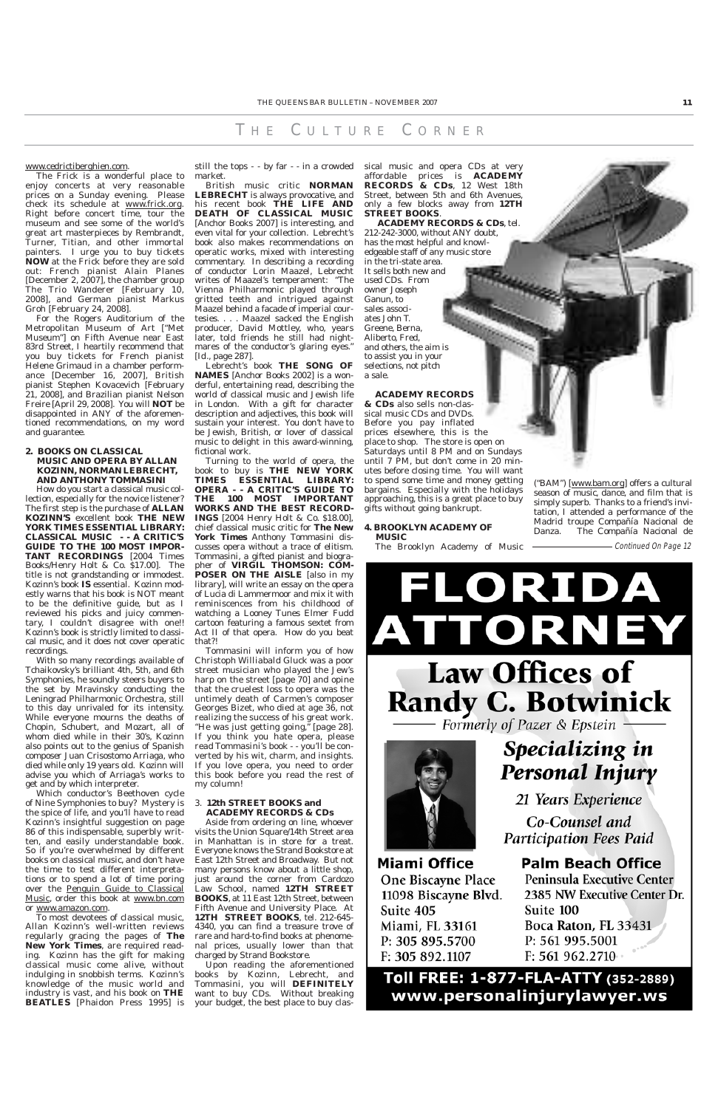#### www.cedrictiberghien.com.

The Frick is a wonderful place to enjoy concerts at very reasonable prices on a Sunday evening. Please check its schedule at www.frick.org. Right before concert time, tour the museum and see some of the world's great art masterpieces by Rembrandt, Turner, Titian, and other immortal painters. I urge you to buy tickets **NOW** at the Frick before they are sold out: French pianist Alain Planes [December 2, 2007], the chamber group The Trio Wanderer [February 10, 2008], and German pianist Markus Groh [February 24, 2008].

For the Rogers Auditorium of the Metropolitan Museum of Art ["Met Museum"] on Fifth Avenue near East 83rd Street, I heartily recommend that you buy tickets for French pianist Helene Grimaud in a chamber performance [December 16, 2007], British pianist Stephen Kovacevich [February 21, 2008], and Brazilian pianist Nelson Freire [April 29, 2008]. You will **NOT** be disappointed in ANY of the aforementioned recommendations, on my word and guarantee.

#### **2. BOOKS ON CLASSICAL MUSIC AND OPERA BY ALLAN KOZINN, NORMAN LEBRECHT, AND ANTHONY TOMMASINI**

How do you start a classical music collection, especially for the novice listener? The first step is the purchase of **ALLAN KOZINN'S** excellent book **THE NEW YORK TIMES ESSENTIAL LIBRARY: CLASSICAL MUSIC - - A CRITIC'S GUIDE TO THE 100 MOST IMPOR-TANT RECORDINGS** [2004 Times Books/Henry Holt & Co. \$17.00]. The title is not grandstanding or immodest. Kozinn's book **IS** essential. Kozinn modestly warns that his book is NOT meant to be the definitive guide, but as I reviewed his picks and juicy commentary, I couldn't disagree with one!! Kozinn's book is strictly limited to classical music, and it does not cover operatic recordings.

With so many recordings available of Tchaikovsky's brilliant 4th, 5th, and 6th Symphonies, he soundly steers buyers to the set by Mravinsky conducting the Leningrad Philharmonic Orchestra, still to this day unrivaled for its intensity. While everyone mourns the deaths of Chopin, Schubert, and Mozart, all of whom died while in their 30's, Kozinn also points out to the genius of Spanish composer Juan Crisostomo Arriaga, who died while only 19 years old. Kozinn will advise you which of Arriaga's works to get and by which interpreter.

#### 3. **12th STREET BOOKS and ACADEMY REC**

Which conductor's Beethoven cycle of Nine Symphonies to buy? Mystery is the spice of life, and you'll have to read Kozinn's insightful suggestion on page 86 of this indispensable, superbly written, and easily understandable book. So if you're overwhelmed by different books on classical music, and don't have the time to test different interpretations or to spend a lot of time poring over the Penguin Guide to Classical Music, order this book at www.bn.com or www.amazon.com. To most devotees of classical music, Allan Kozinn's well-written reviews regularly gracing the pages of **The New York Times**, are required reading. Kozinn has the gift for making classical music come alive, without indulging in snobbish terms. Kozinn's knowledge of the music world and industry is vast, and his book on **THE BEATLES** [Phaidon Press 1995] is market.

British music critic **NORMAN LEBRECHT** is always provocative, and his recent book **THE LIFE AND DEATH OF CLASSICAL MUSIC** [Anchor Books 2007] is interesting, and even vital for your collection. Lebrecht's book also makes recommendations on operatic works, mixed with interesting commentary. In describing a recording of conductor Lorin Maazel, Lebrecht writes of Maazel's temperament: "The Vienna Philharmonic played through gritted teeth and intrigued against Maazel behind a facade of imperial courtesies....Maazel sacked the English producer, David Mottley, who, years later, told friends he still had nightmares of the conductor's glaring eyes." [*Id*., page 287].

Lebrecht's book **THE SONG OF NAMES** [Anchor Books 2002] is a wonderful, entertaining read, describing the world of classical music and Jewish life in London. With a gift for character description and adjectives, this book will sustain your interest. You don't have to be Jewish, British, or lover of classical music to delight in this award-winning, fictional work.

Turning to the world of opera, the book to buy is **THE NEW YORK TIMES ESSENTIAL LIBRARY: OPERA - - A CRITIC'S GUIDE TO THE 100 MOST IMPORTANT WORKS AND THE BEST RECORD-INGS** [2004 Henry Holt & Co. \$18.00], chief classical music critic for **The New York Times** Anthony Tommasini discusses opera without a trace of elitism. Tommasini, a gifted pianist and biographer of **VIRGIL THOMSON: COM-POSER ON THE AISLE** [also in my library], will write an essay on the opera of Lucia di Lammermoor and mix it with reminiscences from his childhood of watching a Looney Tunes Elmer Fudd cartoon featuring a famous sextet from Act II of that opera. How do you beat that?!

still the tops - - by far - - in a crowded sical music and opera CDs at very affordable prices is **ACADEMY RECORDS & CDs**, 12 West 18th Street, between 5th and 6th Avenues, only a few blocks away from **12TH STREET BOOKS**.

Tommasini will inform you of how Christoph Williabald Gluck was a poor street musician who played the Jew's harp on the street [page 70] and opine that the cruelest loss to opera was the untimely death of *Carmen's* composer Georges Bizet, who died at age 36, not realizing the success of his great work. "He was just getting going," [page 28]. If you *think* you hate opera, please read Tommasini's book - - you'll be converted by his wit, charm, and insights. If you love opera, you need to order this book before you read the rest of my column!

Aside from ordering on line, whoever visits the Union Square/14th Street area in Manhattan is in store for a treat. Everyone knows the Strand Bookstore at East 12th Street and Broadway. But not many persons know about a little shop, just around the corner from Cardozo Law School, named **12TH STREET BOOKS**, at 11 East 12th Street, between Fifth Avenue and University Place. At **12TH STREET BOOKS**, tel. 212-645- 4340, you can find a treasure trove of rare and hard-to-find books at phenomenal prices, usually lower than that charged by Strand Bookstore.

Upon reading the aforementioned books by Kozinn, Lebrecht, and Tommasini, you will **DEFINITELY** want to buy CDs. Without breaking your budget, the best place to buy clas**Miami Office One Biscayne Place** 11098 Biscayne Blvd. Suite 405 Miami, FL 33161 P: 305 895.5700 F: 305 892.1107

**Palm Beach Office** Peninsula Executive Center 2385 NW Executive Center Dr. Suite 100 Boca Raton, FL 33431 P: 561 995.5001 F: 561 962.2710

### Toll FREE: 1-877-FLA-ATTY (352-2889) www.personalinjurylawyer.ws

**ACADEMY RECORDS & CDs**, tel. 212-242-3000, without ANY doubt, has the most helpful and knowledgeable staff of any music store in the tri-state area. It sells both new and used CDs. From owner Joseph Ganun, to sales associates John T. Greene, Berna, Aliberto, Fred, and others, the aim is to assist you in your selections, not pitch a sale.

#### **ACADEMY RECORDS**

**& CDs** also sells non-classical music CDs and DVDs. Before you pay inflated prices elsewhere, this is the place to shop. The store is open on Saturdays until 8 PM and on Sundays until 7 PM, but don't come in 20 minutes before closing time. You will want to spend some time and money getting bargains. Especially with the holidays approaching, this is a great place to buy gifts without going bankrupt.

#### **4. BROOKLYN ACADEMY OF MUSIC**

The Brooklyn Academy of Music

("BAM") [www.bam.org] offers a cultural season of music, dance, and film that is simply superb. Thanks to a friend's invitation, I attended a performance of the Madrid troupe Compañía Nacional de Danza. The Compañía Nacional de

Continued On Page 12

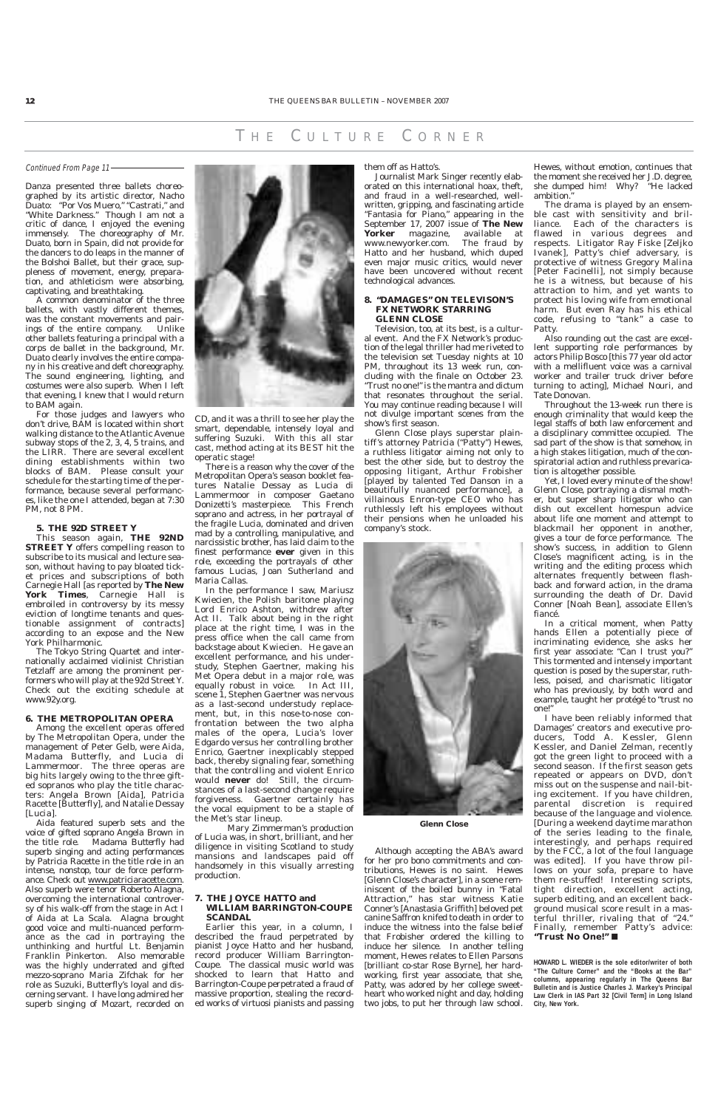Danza presented three ballets choreographed by its artistic director, Nacho Duato: "Por Vos Muero," "Castrati," and "White Darkness." Though I am not a critic of dance, I enjoyed the evening immensely. The choreography of Mr. Duato, born in Spain, did not provide for the dancers to do leaps in the manner of the Bolshoi Ballet, but their grace, suppleness of movement, energy, preparation, and athleticism were absorbing, captivating, and breathtaking.

A common denominator of the three ballets, with vastly different themes, was the constant movements and pairings of the entire company. Unlike other ballets featuring a principal with a corps de ballet in the background, Mr. Duato clearly involves the entire company in his creative and deft choreography. The sound engineering, lighting, and costumes were also superb. When I left that evening, I knew that I would return to BAM again.

For those judges and lawyers who don't drive, BAM is located within short walking distance to the Atlantic Avenue subway stops of the 2, 3, 4, 5 trains, and the LIRR. There are several excellent dining establishments within two blocks of BAM. Please consult your schedule for the starting time of the performance, because several performances, like the one I attended, began at 7:30 PM, not 8 PM.

#### **5. THE 92D STREET Y**

This season again, **THE 92ND STREET Y** offers compelling reason to subscribe to its musical and lecture season, without having to pay bloated ticket prices and subscriptions of both Carnegie Hall [as reported by **The New York Times**, Carnegie Hall is embroiled in controversy by its messy eviction of longtime tenants and questionable assignment of contracts] according to an expose and the New York Philharmonic.

The Tokyo String Quartet and internationally acclaimed violinist Christian Tetzlaff are among the prominent performers who will play at the 92d Street Y. Check out the exciting schedule at www.92y.org.

#### **6. THE METROPOLITAN OPERA**

Among the excellent operas offered by The Metropolitan Opera, under the management of Peter Gelb, were *Aida*, *Madama Butterfly*, and *Lucia di Lammermoor*. The three operas are big hits largely owing to the three gifted sopranos who play the title characters: Angela Brown [*Aida*], Patricia Racette [*Butterfly*], and Natalie Dessay [*Lucia*].

*Aida* featured superb sets and the voice of gifted soprano Angela Brown in the title role. *Madama Butterfly* had superb singing and acting performances by Patricia Racette in the title role in an intense, nonstop, tour de force performance. Check out www.patriciaracette.com. Also superb were tenor Roberto Alagna, overcoming the international controversy of his walk-off from the stage in Act I of *Aida* at La Scala. Alagna brought good voice and multi-nuanced performance as the cad in portraying the unthinking and hurtful Lt. Benjamin Franklin Pinkerton. Also memorable was the highly underrated and gifted mezzo-soprano Maria Zifchak for her role as Suzuki, Butterfly's loyal and discerning servant. I have long admired her superb singing of Mozart, recorded on



There is a reason why the cover of the Metropolitan Opera's season booklet features Natalie Dessay as Lucia di Lammermoor in composer Gaetano Donizetti's masterpiece. This French soprano and actress, in her portrayal of the fragile Lucia, dominated and driven mad by a controlling, manipulative, and narcissistic brother, has laid claim to the finest performance **ever** given in this role, exceeding the portrayals of other famous Lucias, Joan Sutherland and Maria Callas.

In the performance I saw, Mariusz Kwiecien, the Polish baritone playing Lord Enrico Ashton, withdrew after Act II. Talk about being in the right place at the right time, I was in the press office when the call came from backstage about Kwiecien. He gave an excellent performance, and his understudy, Stephen Gaertner, making his Met Opera debut in a major role, was equally robust in voice. In Act III, scene 1, Stephen Gaertner was nervous as a last-second understudy replacement, but, in this nose-to-nose confrontation between the two alpha males of the opera, Lucia's lover Edgardo versus her controlling brother Enrico, Gaertner inexplicably stepped back, thereby signaling fear, something that the controlling and violent Enrico would **never** do! Still, the circumstances of a last-second change require forgiveness. Gaertner certainly has the vocal equipment to be a staple of the Met's star lineup. Mary Zimmerman's production of *Lucia* was, in short, brilliant, and her diligence in visiting Scotland to study mansions and landscapes paid off handsomely in this visually arresting production.

Yet, I loved every minute of the show! Glenn Close, portraying a dismal mother, but super sharp litigator who can dish out excellent homespun advice about life one moment and attempt to blackmail her opponent in another, gives a tour de force performance. The show's success, in addition to Glenn Close's magnificent acting, is in the writing and the editing process which alternates frequently between flashback and forward action, in the drama surrounding the death of Dr. David Conner [Noah Bean], associate Ellen's fiancé.

#### **7. THE JOYCE HATTO and WILLIAM BARRINGTON-COUPE SCANDAL**

Earlier this year, in a column, I described the fraud perpetrated by pianist Joyce Hatto and her husband, record producer William Barrington-Coupe. The classical music world was shocked to learn that Hatto and Barrington-Coupe perpetrated a fraud of massive proportion, stealing the recorded works of virtuosi pianists and passing

#### them off as Hatto's.

Journalist Mark Singer recently elaborated on this international hoax, theft, and fraud in a well-researched, wellwritten, gripping, and fascinating article "Fantasia for Piano," appearing in the September 17, 2007 issue of **The New** magazine, available at<br>yorker.com. The fraud by www.newyorker.com. Hatto and her husband, which duped even major music critics, would never have been uncovered without recent technological advances.

#### **8. "DAMAGES" ON TELEVISON'S FX NETWORK STARRING GLENN CLOSE**

Television, too, at its best, is a cultural event. And the FX Network's production of the legal thriller had me riveted to the television set Tuesday nights at 10 PM, throughout its 13 week run, concluding with the finale on October 23. "Trust no one!" is the mantra and dictum that resonates throughout the serial. You may continue reading because I will not divulge important scenes from the show's first season.

Glenn Close plays superstar plaintiff's attorney Patricia ("Patty") Hewes, a ruthless litigator aiming not only to best the other side, but to destroy the opposing litigant, Arthur Frobisher [played by talented Ted Danson in a beautifully nuanced performance], a villainous Enron-type CEO who has ruthlessly left his employees without their pensions when he unloaded his company's stock.



Although accepting the ABA's award for her pro bono commitments and contributions, Hewes is no saint. Hewes [Glenn Close's character], in a scene reminiscent of the boiled bunny in "Fatal Attraction," has star witness Katie Conner's [Anastasia Griffith] beloved pet canine Saffron knifed to death in order to induce the witness into the false belief that Frobisher ordered the killing to induce her silence. In another telling moment, Hewes relates to Ellen Parsons [brilliant co-star Rose Byrne], her hardworking, first year associate, that she, Patty, was adored by her college sweetheart who worked night and day, holding two jobs, to put her through law school.

Hewes, without emotion, continues that the moment she received her J.D. degree, she dumped him! Why? "He lacked ambition."

The drama is played by an ensemble cast with sensitivity and brilliance. Each of the characters is flawed in various degrees and respects. Litigator Ray Fiske [Zeljko Ivanek], Patty's chief adversary, is protective of witness Gregory Malina [Peter Facinelli], not simply because he is a witness, but because of his attraction to him, and yet wants to protect his loving wife from emotional harm. But even Ray has his ethical code, refusing to "tank" a case to Patty.

Also rounding out the cast are excellent supporting role performances by actors Philip Bosco [this 77 year old actor with a mellifluent voice was a carnival worker and trailer truck driver before turning to acting], Michael Nouri, and Tate Donovan.

Throughout the 13-week run there is enough criminality that would keep the legal staffs of both law enforcement and a disciplinary committee occupied. The sad part of the show is that somehow, in a high stakes litigation, much of the conspiratorial action and ruthless prevarication is altogether possible.

In a critical moment, when Patty hands Ellen a potentially piece of incriminating evidence, she asks her first year associate: "Can I trust you?" This tormented and intensely important question is posed by the superstar, ruthless, poised, and charismatic litigator who has previously, by both word and example, taught her protégé to "trust no one!"

I have been reliably informed that *Damages'* creators and executive producers, Todd A. Kessler, Glenn Kessler, and Daniel Zelman, recently got the green light to proceed with a second season. If the first season gets repeated or appears on DVD, don't miss out on the suspense and nail-biting excitement. If you have children, parental discretion is required because of the language and violence. [During a weekend daytime marathon of the series leading to the finale, interestingly, and perhaps required by the FCC, a lot of the foul language was edited]. If you have throw pillows on your sofa, prepare to have them re-stuffed! Interesting scripts, tight direction, excellent acting, superb editing, and an excellent background musical score result in a masterful thriller, rivaling that of "24." Finally, remember Patty's advice: **"Trust No One!"** ■



**HOWARD L. WIEDER is the sole editor/writer of both "The Culture Corner" and the "Books at the Bar" columns, appearing regularly in The Queens Bar Bulletin and is Justice Charles J. Markey's Principal Law Clerk in IAS Part 32 [Civil Term] in Long Island City, New York.**

Continued From Page 11

#### T H E C ULTURE C ORNER

#### **Glenn Close**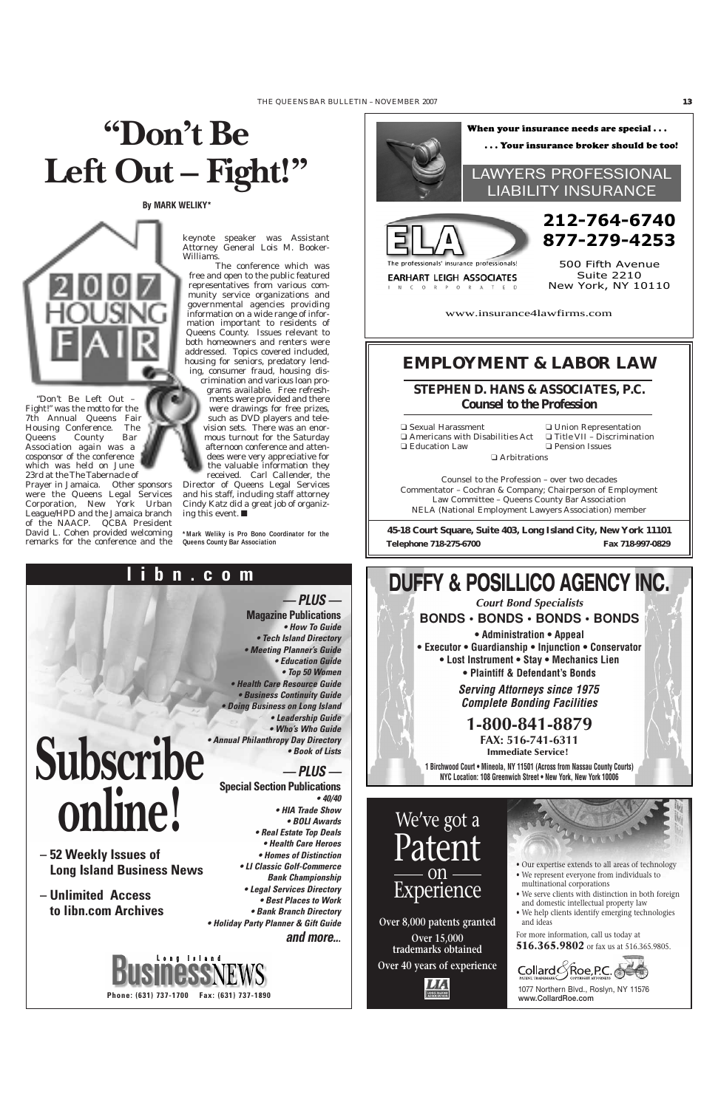## **"Don't Be Left Out – Fight!"**



**• BOLI Awards • Real Estate Top Deals • Health Care Heroes • Homes of Distinction • LI Classic Golf-Commerce Bank Championship • Legal Services Directory • Best Places to Work • Bank Branch Directory • Holiday Party Planner & Gift Guide and more..**.



**Phone: (631) 737-1700 Fax: (631) 737-1890** 

### **online!**

- **52 Weekly Issues of Long Island Business News**
- **Unlimited Access to libn.com Archives**

"Don't Be Left Out – Fight!" was the motto for the 7th Annual Queens Fair Housing Conference. The Queens County Bar Association again was a cosponsor of the conference which was held on June 23rd at the The Tabernacle of

Prayer in Jamaica. Other sponsors were the Queens Legal Services Corporation, New York Urban League/HPD and the Jamaica branch of the NAACP. QCBA President David L. Cohen provided welcoming remarks for the conference and the keynote speaker was Assistant Attorney General Lois M. Booker-Williams.

The conference which was free and open to the public featured representatives from various community service organizations and governmental agencies providing information on a wide range of information important to residents of Queens County. Issues relevant to both homeowners and renters were addressed. Topics covered included, housing for seniors, predatory lending, consumer fraud, housing dis-

crimination and various loan programs available. Free refreshments were provided and there were drawings for free prizes, such as DVD players and television sets. There was an enormous turnout for the Saturday afternoon conference and attendees were very appreciative for the valuable information they received. Carl Callender, the

Director of Queens Legal Services and his staff, including staff attorney Cindy Katz did a great job of organizing this event. ■

**\*Mark Weliky is Pro Bono Coordinator for the Queens County Bar Association**

### **EMPLOYMENT & LABOR LAW**

❑ Sexual Harassment ❑ Americans with Disabilities Act ❑ Education Law ❑ Arbitrations

❑ Union Representation ❑ Title VII – Discrimination ❑ Pension Issues

Counsel to the Profession – over two decades Commentator – Cochran & Company; Chairperson of Employment Law Committee – Queens County Bar Association NELA (National Employment Lawyers Association) member

**45-18 Court Square, Suite 403, Long Island City, New York 11101 Telephone 718-275-6700 Fax 718-997-0829**

**STEPHEN D. HANS & ASSOCIATES, P.C.** *Counsel to the Profession*

**By MARK WELIKY\***





**EARHART LEIGH ASSOCIATES** 

IN CORPORATED

www.insurance4lawfirms.com

500 Fifth Avenue Suite 2210 New York, NY 10110



1077 Northern Blvd., Roslyn, NY 11576 www.CollardRoe.com

**Over 8,000 patents granted Over 15,000 trademarks obtained**

**Over 40 years of experience**



### Patent on Experience

- Our expertise extends to all areas of technology
- We represent everyone from individuals to multinational corporations
- We serve clients with distinction in both foreign and domestic intellectual property law
- We help clients identify emerging technologies and ideas

For more information, call us today at **516.365.9802** or fax us at 516.365.9805.

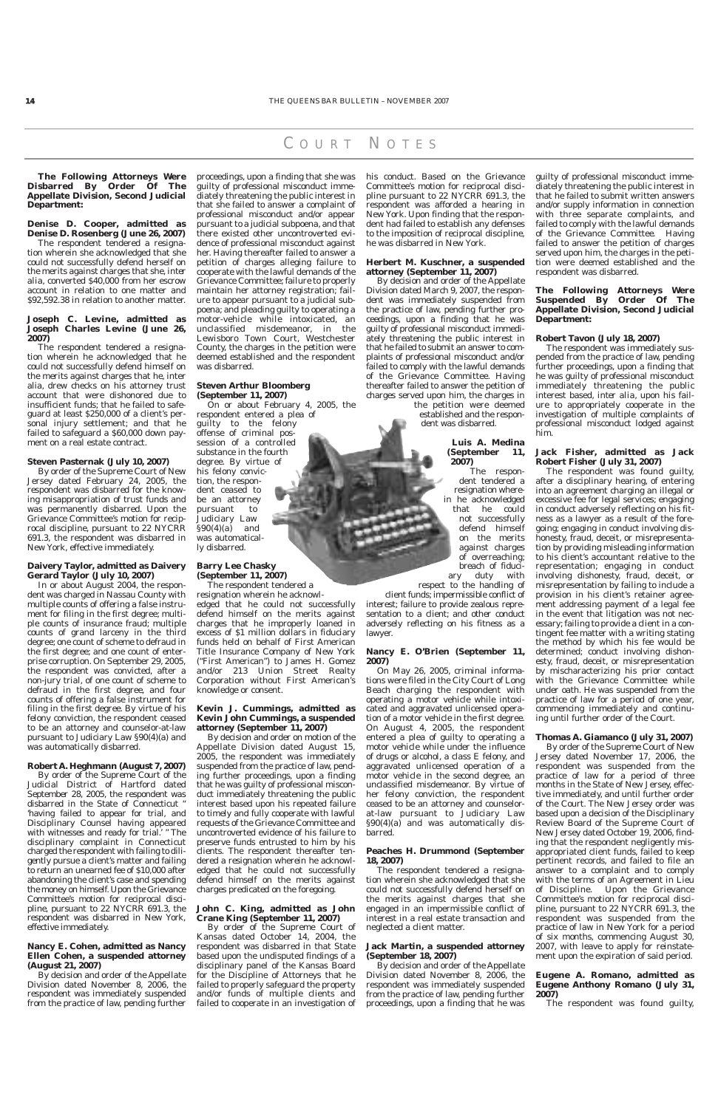**The Following Attorneys Were Disbarred By Order Of The Appellate Division, Second Judicial Department:**

#### **Denise D. Cooper, admitted as Denise D. Rosenberg (June 26, 2007)**

The respondent tendered a resignation wherein she acknowledged that she could not successfully defend herself on the merits against charges that she, *inter alia*, converted \$40,000 from her escrow account in relation to one matter and \$92,592.38 in relation to another matter.

#### **Joseph C. Levine, admitted as Joseph Charles Levine (June 26, 2007)**

The respondent tendered a resignation wherein he acknowledged that he could not successfully defend himself on the merits against charges that he, inter alia, drew checks on his attorney trust account that were dishonored due to insufficient funds; that he failed to safeguard at least \$250,000 of a client's personal injury settlement; and that he failed to safeguard a \$60,000 down payment on a real estate contract.

#### **Steven Pasternak (July 10, 2007)**

By order of the Supreme Court of New Jersey dated February 24, 2005, the respondent was disbarred for the knowing misappropriation of trust funds and was permanently disbarred. Upon the Grievance Committee's motion for reciprocal discipline, pursuant to 22 NYCRR 691.3, the respondent was disbarred in New York, effective immediately.

#### **Daivery Taylor, admitted as Daivery Gerard Taylor (July 10, 2007)**

In or about August 2004, the respondent was charged in Nassau County with multiple counts of offering a false instrument for filing in the first degree; multiple counts of insurance fraud; multiple counts of grand larceny in the third degree; one count of scheme to defraud in the first degree; and one count of enterprise corruption. On September 29, 2005, the respondent was convicted, after a non-jury trial, of one count of scheme to defraud in the first degree, and four counts of offering a false instrument for filing in the first degree. By virtue of his felony conviction, the respondent ceased to be an attorney and counselor-at-law pursuant to Judiciary Law §90(4)(a) and was automatically disbarred.

#### **Robert A. Heghmann (August 7, 2007)**

By order of the Supreme Court of the Judicial District of Hartford dated September 28, 2005, the respondent was disbarred in the State of Connecticut " 'having failed to appear for trial, and Disciplinary Counsel having appeared with witnesses and ready for trial.' " The disciplinary complaint in Connecticut charged the respondent with failing to diligently pursue a client's matter and failing to return an unearned fee of \$10,000 after abandoning the client's case and spending the money on himself. Upon the Grievance Committee's motion for reciprocal discipline, pursuant to 22 NYCRR 691.3, the respondent was disbarred in New York, effective immediately.

#### **Nancy E. Cohen, admitted as Nancy Ellen Cohen, a suspended attorney (August 21, 2007)**

By decision and order of the Appellate Division dated November 8, 2006, the respondent was immediately suspended from the practice of law, pending further proceedings, upon a finding that she was guilty of professional misconduct immediately threatening the public interest in that she failed to answer a complaint of professional misconduct and/or appear pursuant to a judicial subpoena, and that there existed other uncontroverted evidence of professional misconduct against her. Having thereafter failed to answer a petition of charges alleging failure to cooperate with the lawful demands of the Grievance Committee; failure to properly maintain her attorney registration; failure to appear pursuant to a judicial subpoena; and pleading guilty to operating a motor-vehicle while intoxicated, an unclassified misdemeanor, in the Lewisboro Town Court, Westchester County, the charges in the petition were deemed established and the respondent was disbarred.

> On May 26, 2005, criminal informations were filed in the City Court of Long Beach charging the respondent with operating a motor vehicle while intoxicated and aggravated unlicensed operation of a motor vehicle in the first degree. On August 4, 2005, the respondent entered a plea of guilty to operating a motor vehicle while under the influence of drugs or alcohol, a class E felony, and aggravated unlicensed operation of a motor vehicle in the second degree, an unclassified misdemeanor. By virtue of her felony conviction, the respondent ceased to be an attorney and counselorat-law pursuant to Judiciar

#### **Steven Arthur Bloomberg (September 11, 2007)**

On or about February 4, 2005, the respondent entered a plea of

> §90(4)(a) and was automatically disbarred.

guilty to the felony offense of criminal possession of a controlled substance in the fourth degree. By virtue of his felony conviction, the respondent ceased to be an attorney pursuant to Judiciary Law  $\S 90(4)(a)$  and was automatically disbarred.

#### **Barry Lee Chasky (September 11, 2007)**

The respondent tendered a resignation wherein he acknowl-

edged that he could not successfully defend himself on the merits against charges that he improperly loaned in excess of \$1 million dollars in fiduciary funds held on behalf of First American Title Insurance Company of New York ("First American") to James H. Gomez and/or 213 Union Street Realty Corporation without First American's knowledge or consent.

#### **Kevin J. Cummings, admitted as Kevin John Cummings, a suspended attorney (September 11, 2007)**

By decision and order on motion of the Appellate Division dated August 15, 2005, the respondent was immediately suspended from the practice of law, pending further proceedings, upon a finding that he was guilty of professional misconduct immediately threatening the public interest based upon his repeated failure to timely and fully cooperate with lawful requests of the Grievance Committee and uncontroverted evidence of his failure to preserve funds entrusted to him by his clients. The respondent thereafter tendered a resignation wherein he acknowledged that he could not successfully defend himself on the merits against charges predicated on the foregoing.

#### **John C. King, admitted as John Crane King (September 11, 2007)**

By order of the Supreme Court of Kansas dated October 14, 2004, the respondent was disbarred in that State based upon the undisputed findings of a disciplinary panel of the Kansas Board for the Discipline of Attorneys that he failed to properly safeguard the property and/or funds of multiple clients and failed to cooperate in an investigation of his conduct. Based on the Grievance Committee's motion for reciprocal discipline pursuant to 22 NYCRR 691.3, the respondent was afforded a hearing in New York. Upon finding that the respondent had failed to establish any defenses to the imposition of reciprocal discipline, he was disbarred in New York.

#### **Herbert M. Kuschner, a suspended attorney (September 11, 2007)**

By decision and order of the Appellate Division dated March 9, 2007, the respondent was immediately suspended from the practice of law, pending further proceedings, upon a finding that he was guilty of professional misconduct immediately threatening the public interest in that he failed to submit an answer to complaints of professional misconduct and/or failed to comply with the lawful demands of the Grievance Committee. Having thereafter failed to answer the petition of charges served upon him, the charges in the petition were deemed

established and the respondent was disbarred.

#### **Luis A. Medina (September 11, 2007)**

The respondent tendered a resignation wherein he acknowledged that he could not successfully defend himself on the merits against charges of overreaching; breach of fiduciary duty with respect to the handling of

client funds; impermissible conflict of interest; failure to provide zealous representation to a client; and other conduct adversely reflecting on his fitness as a lawyer.

#### **Nancy E. O'Brien (September 11, 2007)**

#### **Peaches H. Drummond (September 18, 2007)**

The respondent tendered a resignation wherein she acknowledged that she could not successfully defend herself on the merits against charges that she engaged in an impermissible conflict of interest in a real estate transaction and neglected a client matter.

#### **Jack Martin, a suspended attorney (September 18, 2007)**

By decision and order of the Appellate Division dated November 8, 2006, the respondent was immediately suspended from the practice of law, pending further proceedings, upon a finding that he was

guilty of professional misconduct immediately threatening the public interest in that he failed to submit written answers and/or supply information in connection with three separate complaints, and failed to comply with the lawful demands of the Grievance Committee. Having failed to answer the petition of charges served upon him, the charges in the petition were deemed established and the respondent was disbarred.

#### **The Following Attorneys Were Suspended By Order Of The Appellate Division, Second Judicial Department:**

#### **Robert Tavon (July 18, 2007)**

The respondent was immediately suspended from the practice of law, pending further proceedings, upon a finding that he was guilty of professional misconduct immediately threatening the public interest based, *inter alia*, upon his failure to appropriately cooperate in the investigation of multiple complaints of professional misconduct lodged against him.

#### **Jack Fisher, admitted as Jack Robert Fisher (July 31, 2007)**

The respondent was found guilty, after a disciplinary hearing, of entering into an agreement charging an illegal or excessive fee for legal services; engaging in conduct adversely reflecting on his fitness as a lawyer as a result of the foregoing; engaging in conduct involving dishonesty, fraud, deceit, or misrepresentation by providing misleading information to his client's accountant relative to the representation; engaging in conduct involving dishonesty, fraud, deceit, or misrepresentation by failing to include a provision in his client's retainer agreement addressing payment of a legal fee in the event that litigation was not necessary; failing to provide a client in a contingent fee matter with a writing stating the method by which his fee would be determined; conduct involving dishonesty, fraud, deceit, or misrepresentation by mischaracterizing his prior contact with the Grievance Committee while under oath. He was suspended from the practice of law for a period of one year, commencing immediately and continuing until further order of the Court.

#### **Thomas A. Giamanco (July 31, 2007)**

By order of the Supreme Court of New Jersey dated November 17, 2006, the respondent was suspended from the practice of law for a period of three months in the State of New Jersey, effective immediately, and until further order of the Court. The New Jersey order was based upon a decision of the Disciplinary Review Board of the Supreme Court of New Jersey dated October 19, 2006, finding that the respondent negligently misappropriated client funds, failed to keep pertinent records, and failed to file an answer to a complaint and to comply with the terms of an Agreement in Lieu of Discipline. Upon the Grievance Committee's motion for reciprocal discipline, pursuant to 22 NYCRR 691.3, the respondent was suspended from the practice of law in New York for a period of six months, commencing August 30, 2007, with leave to apply for reinstatement upon the expiration of said period.

#### **Eugene A. Romano, admitted as Eugene Anthony Romano (July 31, 2007)**

The respondent was found guilty,

#### C OURT N OTES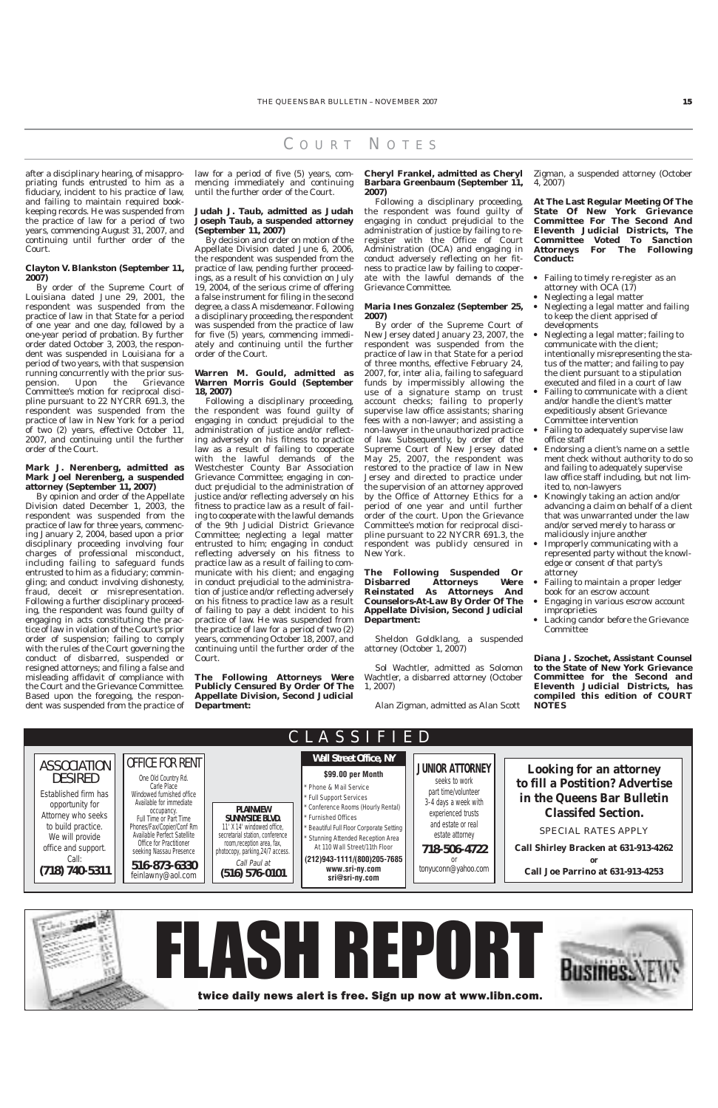#### C OURT N OTES

after a disciplinary hearing, of misappropriating funds entrusted to him as a fiduciary, incident to his practice of law, and failing to maintain required bookkeeping records. He was suspended from the practice of law for a period of two years, commencing August 31, 2007, and continuing until further order of the Court.

#### **Clayton V. Blankston (September 11, 2007)**

By order of the Supreme Court of Louisiana dated June 29, 2001, the respondent was suspended from the practice of law in that State for a period of one year and one day, followed by a one-year period of probation. By further order dated October 3, 2003, the respondent was suspended in Louisiana for a period of two years, with that suspension running concurrently with the prior suspension. Upon the Grievance Committee's motion for reciprocal discipline pursuant to 22 NYCRR 691.3, the respondent was suspended from the practice of law in New York for a period of two (2) years, effective October 11, 2007, and continuing until the further order of the Court.

#### **Mark J. Nerenberg, admitted as Mark Joel Nerenberg, a suspended attorney (September 11, 2007)**

By opinion and order of the Appellate Division dated December 1, 2003, the respondent was suspended from the practice of law for three years, commencing January 2, 2004, based upon a prior disciplinary proceeding involving four charges of professional misconduct, including failing to safeguard funds entrusted to him as a fiduciary; commingling; and conduct involving dishonesty, fraud, deceit or misrepresentation. Following a further disciplinary proceeding, the respondent was found guilty of engaging in acts constituting the practice of law in violation of the Court's prior order of suspension; failing to comply with the rules of the Court governing the conduct of disbarred, suspended or resigned attorneys; and filing a false and misleading affidavit of compliance with the Court and the Grievance Committee. Based upon the foregoing, the respondent was suspended from the practice of

law for a period of five (5) years, commencing immediately and continuing until the further order of the Court.

#### **Judah J. Taub, admitted as Judah Joseph Taub, a suspended attorney (September 11, 2007)**

By decision and order on motion of the Appellate Division dated June 6, 2006, the respondent was suspended from the practice of law, pending further proceedings, as a result of his conviction on July 19, 2004, of the serious crime of offering a false instrument for filing in the second degree, a class A misdemeanor. Following a disciplinary proceeding, the respondent was suspended from the practice of law for five (5) years, commencing immediately and continuing until the further order of the Court.

#### **Warren M. Gould, admitted as Warren Morris Gould (September 18, 2007)**

- Failing to timely re-register as an attorney with OCA (17)
- Neglecting a legal matter
- Neglecting a legal matter and failing to keep the client apprised of developments
- Neglecting a legal matter; failing to communicate with the client; intentionally misrepresenting the status of the matter; and failing to pay the client pursuant to a stipulation executed and filed in a court of law
- Failing to communicate with a client and/or handle the client's matter expeditiously absent Grievance Committee intervention
- Failing to adequately supervise law office staff
- Endorsing a client's name on a settle ment check without authority to do so and failing to adequately supervise law office staff including, but not limited to, non-lawyers
- Knowingly taking an action and/or advancing a claim on behalf of a client that was unwarranted under the law and/or served merely to harass or maliciously injure another
- Improperly communicating with a represented party without the knowledge or consent of that party's attorney
- Failing to maintain a proper ledger book for an escrow account
- Engaging in various escrow account improprieties
- Lacking candor before the Grievance **Committee**

Following a disciplinary proceeding, the respondent was found guilty of engaging in conduct prejudicial to the administration of justice and/or reflecting adversely on his fitness to practice law as a result of failing to cooperate with the lawful demands of the Westchester County Bar Association Grievance Committee; engaging in conduct prejudicial to the administration of justice and/or reflecting adversely on his fitness to practice law as a result of failing to cooperate with the lawful demands of the 9th Judicial District Grievance Committee; neglecting a legal matter entrusted to him; engaging in conduct reflecting adversely on his fitness to practice law as a result of failing to communicate with his client; and engaging in conduct prejudicial to the administration of justice and/or reflecting adversely on his fitness to practice law as a result of failing to pay a debt incident to his practice of law. He was suspended from the practice of law for a period of two (2) years, commencing October 18, 2007, and continuing until the further order of the Court.

**The Following Attorneys Were Publicly Censured By Order Of The Appellate Division, Second Judicial Department:**

**Cheryl Frankel, admitted as Cheryl Barbara Greenbaum (September 11, 2007)**

Following a disciplinary proceeding, the respondent was found guilty of engaging in conduct prejudicial to the administration of justice by failing to reregister with the Office of Court Administration (OCA) and engaging in conduct adversely reflecting on her fitness to practice law by failing to cooperate with the lawful demands of the Grievance Committee.

#### **Maria Ines Gonzalez (September 25, 2007)**

By order of the Supreme Court of New Jersey dated January 23, 2007, the respondent was suspended from the practice of law in that State for a period of three months, effective February 24, 2007, for, *inter alia*, failing to safeguard funds by impermissibly allowing the use of a signature stamp on trust account checks; failing to properly supervise law office assistants; sharing fees with a non-lawyer; and assisting a non-lawyer in the unauthorized practice of law. Subsequently, by order of the Supreme Court of New Jersey dated May 25, 2007, the respondent was restored to the practice of law in New Jersey and directed to practice under the supervision of an attorney approved by the Office of Attorney Ethics for a period of one year and until further order of the court. Upon the Grievance Committee's motion for reciprocal discipline pursuant to 22 NYCRR 691.3, the respondent was publicly censured in New York.

#### **The Following Suspended Or Disbarred Attorneys Were Reinstated As Attorneys And Counselors-At-Law By Order Of The Appellate Division, Second Judicial Department:**

Sheldon Goldklang, a suspended attorney (October 1, 2007)

Sol Wachtler, admitted as Solomon Wachtler, a disbarred attorney (October 1, 2007)

Alan Zigman, admitted as Alan Scott

Zigman, a suspended attorney (October 4, 2007)

**At The Last Regular Meeting Of The State Of New York Grievance Committee For The Second And Eleventh Judicial Districts, The Committee Voted To Sanction Attorneys For The Following Conduct:**

**Diana J. Szochet, Assistant Counsel to the State of New York Grievance Committee for the Second and Eleventh Judicial Districts, has compiled this edition of COURT NOTES**